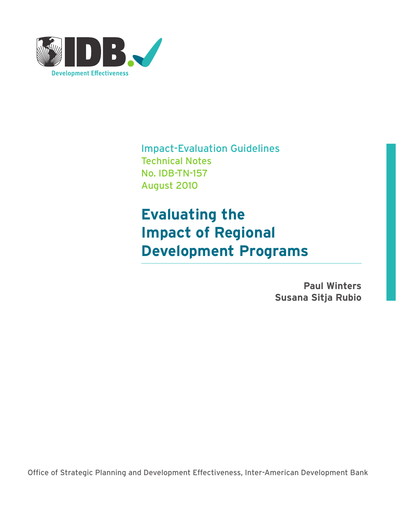

Impact-Evaluation Guidelines Technical Notes No. IDB-TN-157 August 2010

## **Evaluating the Impact of Regional Development Programs**

**Paul Winters Susana Sitja Rubio**

Office of Strategic Planning and Development Effectiveness, Inter-American Development Bank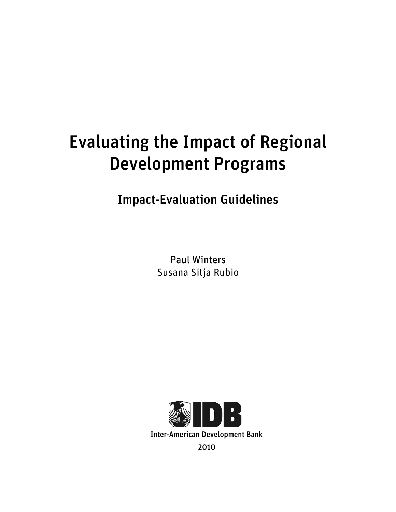# Evaluating the Impact of Regional Development Programs

### Impact-Evaluation Guidelines

Paul Winters Susana Sitja Rubio

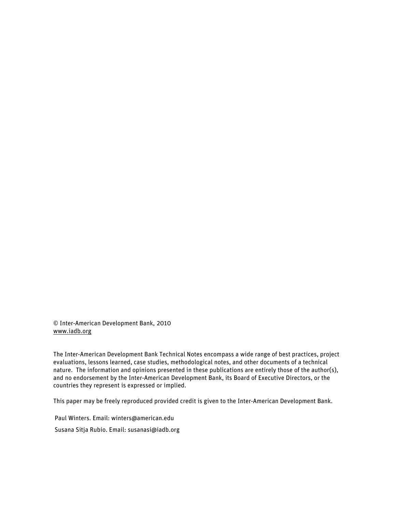© Inter-American Development Bank, 2010 www.iadb.org

The Inter-American Development Bank Technical Notes encompass a wide range of best practices, project evaluations, lessons learned, case studies, methodological notes, and other documents of a technical nature. The information and opinions presented in these publications are entirely those of the author(s), and no endorsement by the Inter-American Development Bank, its Board of Executive Directors, or the countries they represent is expressed or implied.

This paper may be freely reproduced provided credit is given to the Inter-American Development Bank.

Paul Winters. Email: winters@american.edu

Susana Sitja Rubio. Email: susanasi@iadb.org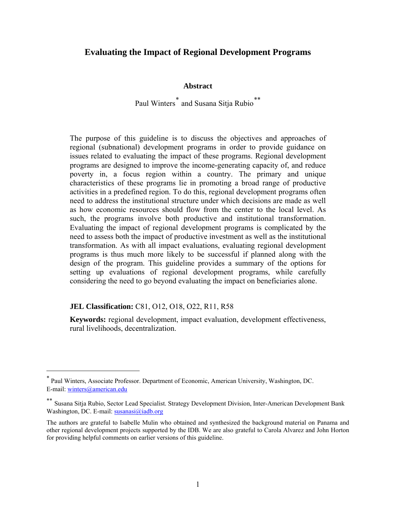#### **Evaluating the Impact of Regional Development Programs**

#### **Abstract**

Paul Winters<sup>[∗](#page-3-0)</sup> and Susana Sitja Rubio<sup>\*\*</sup>

The purpose of this guideline is to discuss the objectives and approaches of regional (subnational) development programs in order to provide guidance on issues related to evaluating the impact of these programs. Regional development programs are designed to improve the income-generating capacity of, and reduce poverty in, a focus region within a country. The primary and unique characteristics of these programs lie in promoting a broad range of productive activities in a predefined region. To do this, regional development programs often need to address the institutional structure under which decisions are made as well as how economic resources should flow from the center to the local level. As such, the programs involve both productive and institutional transformation. Evaluating the impact of regional development programs is complicated by the need to assess both the impact of productive investment as well as the institutional transformation. As with all impact evaluations, evaluating regional development programs is thus much more likely to be successful if planned along with the design of the program. This guideline provides a summary of the options for setting up evaluations of regional development programs, while carefully considering the need to go beyond evaluating the impact on beneficiaries alone.

#### **JEL Classification:** C81, O12, O18, O22, R11, R58

**Keywords:** regional development, impact evaluation, development effectiveness, rural livelihoods, decentralization.

<span id="page-3-0"></span><sup>∗</sup> Paul Winters, Associate Professor. Department of Economic, American University, Washington, DC. E-mail: [winters@american.edu](mailto:winters@american.edu)

<span id="page-3-1"></span><sup>∗∗</sup> Susana Sitja Rubio, Sector Lead Specialist. Strategy Development Division, Inter-American Development Bank Washington, DC. E-mail: [susanasi@iadb.org](mailto:susanasi@iadb.org)

The authors are grateful to Isabelle Mulin who obtained and synthesized the background material on Panama and other regional development projects supported by the IDB. We are also grateful to Carola Alvarez and John Horton for providing helpful comments on earlier versions of this guideline.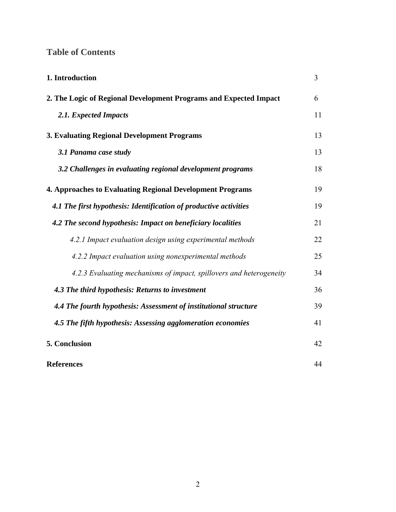#### **Table of Contents**

| 1. Introduction                                                     | 3  |
|---------------------------------------------------------------------|----|
| 2. The Logic of Regional Development Programs and Expected Impact   | 6  |
| 2.1. Expected Impacts                                               | 11 |
| 3. Evaluating Regional Development Programs                         | 13 |
| 3.1 Panama case study                                               | 13 |
| 3.2 Challenges in evaluating regional development programs          | 18 |
| 4. Approaches to Evaluating Regional Development Programs           | 19 |
| 4.1 The first hypothesis: Identification of productive activities   | 19 |
| 4.2 The second hypothesis: Impact on beneficiary localities         | 21 |
| 4.2.1 Impact evaluation design using experimental methods           | 22 |
| 4.2.2 Impact evaluation using nonexperimental methods               | 25 |
| 4.2.3 Evaluating mechanisms of impact, spillovers and heterogeneity | 34 |
| 4.3 The third hypothesis: Returns to investment                     | 36 |
| 4.4 The fourth hypothesis: Assessment of institutional structure    | 39 |
| 4.5 The fifth hypothesis: Assessing agglomeration economies         | 41 |
| 5. Conclusion                                                       | 42 |
| <b>References</b>                                                   | 44 |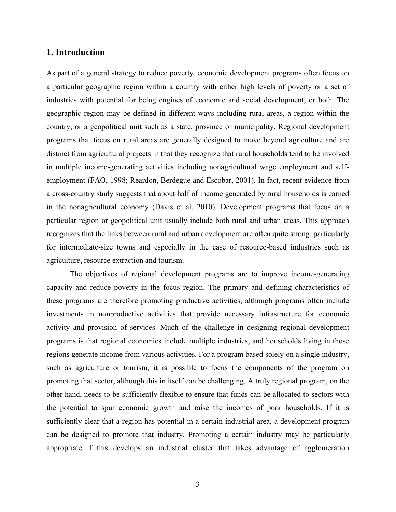#### **1. Introduction**

As part of a general strategy to reduce poverty, economic development programs often focus on a particular geographic region within a country with either high levels of poverty or a set of industries with potential for being engines of economic and social development, or both. The geographic region may be defined in different ways including rural areas, a region within the country, or a geopolitical unit such as a state, province or municipality. Regional development programs that focus on rural areas are generally designed to move beyond agriculture and are distinct from agricultural projects in that they recognize that rural households tend to be involved in multiple income-generating activities including nonagricultural wage employment and selfemployment (FAO, 1998; Reardon, Berdegue and Escobar, 2001). In fact, recent evidence from a cross-country study suggests that about half of income generated by rural households is earned in the nonagricultural economy (Davis et al. 2010). Development programs that focus on a particular region or geopolitical unit usually include both rural and urban areas. This approach recognizes that the links between rural and urban development are often quite strong, particularly for intermediate-size towns and especially in the case of resource-based industries such as agriculture, resource extraction and tourism.

The objectives of regional development programs are to improve income-generating capacity and reduce poverty in the focus region. The primary and defining characteristics of these programs are therefore promoting productive activities, although programs often include investments in nonproductive activities that provide necessary infrastructure for economic activity and provision of services. Much of the challenge in designing regional development programs is that regional economies include multiple industries, and households living in those regions generate income from various activities. For a program based solely on a single industry, such as agriculture or tourism, it is possible to focus the components of the program on promoting that sector, although this in itself can be challenging. A truly regional program, on the other hand, needs to be sufficiently flexible to ensure that funds can be allocated to sectors with the potential to spur economic growth and raise the incomes of poor households. If it is sufficiently clear that a region has potential in a certain industrial area, a development program can be designed to promote that industry. Promoting a certain industry may be particularly appropriate if this develops an industrial cluster that takes advantage of agglomeration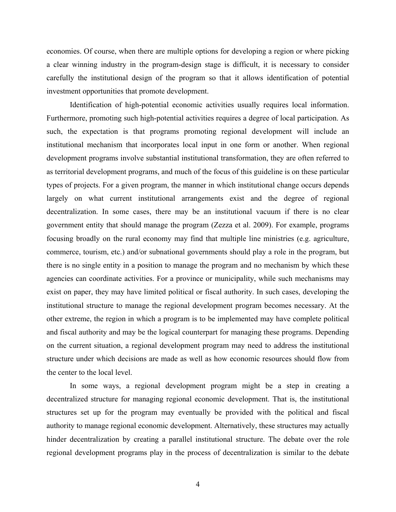economies. Of course, when there are multiple options for developing a region or where picking a clear winning industry in the program-design stage is difficult, it is necessary to consider carefully the institutional design of the program so that it allows identification of potential investment opportunities that promote development.

Identification of high-potential economic activities usually requires local information. Furthermore, promoting such high-potential activities requires a degree of local participation. As such, the expectation is that programs promoting regional development will include an institutional mechanism that incorporates local input in one form or another. When regional development programs involve substantial institutional transformation, they are often referred to as territorial development programs, and much of the focus of this guideline is on these particular types of projects. For a given program, the manner in which institutional change occurs depends largely on what current institutional arrangements exist and the degree of regional decentralization. In some cases, there may be an institutional vacuum if there is no clear government entity that should manage the program (Zezza et al. 2009). For example, programs focusing broadly on the rural economy may find that multiple line ministries (e.g. agriculture, commerce, tourism, etc.) and/or subnational governments should play a role in the program, but there is no single entity in a position to manage the program and no mechanism by which these agencies can coordinate activities. For a province or municipality, while such mechanisms may exist on paper, they may have limited political or fiscal authority. In such cases, developing the institutional structure to manage the regional development program becomes necessary. At the other extreme, the region in which a program is to be implemented may have complete political and fiscal authority and may be the logical counterpart for managing these programs. Depending on the current situation, a regional development program may need to address the institutional structure under which decisions are made as well as how economic resources should flow from the center to the local level.

In some ways, a regional development program might be a step in creating a decentralized structure for managing regional economic development. That is, the institutional structures set up for the program may eventually be provided with the political and fiscal authority to manage regional economic development. Alternatively, these structures may actually hinder decentralization by creating a parallel institutional structure. The debate over the role regional development programs play in the process of decentralization is similar to the debate

4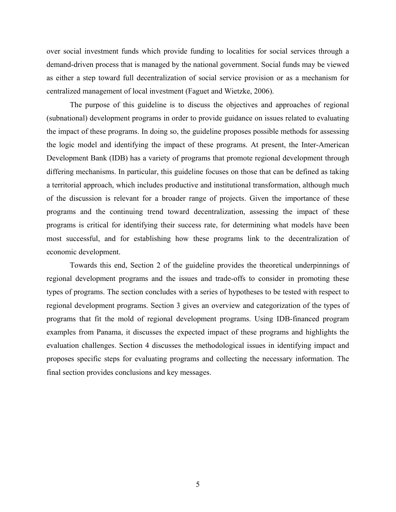over social investment funds which provide funding to localities for social services through a demand-driven process that is managed by the national government. Social funds may be viewed as either a step toward full decentralization of social service provision or as a mechanism for centralized management of local investment (Faguet and Wietzke, 2006).

The purpose of this guideline is to discuss the objectives and approaches of regional (subnational) development programs in order to provide guidance on issues related to evaluating the impact of these programs. In doing so, the guideline proposes possible methods for assessing the logic model and identifying the impact of these programs. At present, the Inter-American Development Bank (IDB) has a variety of programs that promote regional development through differing mechanisms. In particular, this guideline focuses on those that can be defined as taking a territorial approach, which includes productive and institutional transformation, although much of the discussion is relevant for a broader range of projects. Given the importance of these programs and the continuing trend toward decentralization, assessing the impact of these programs is critical for identifying their success rate, for determining what models have been most successful, and for establishing how these programs link to the decentralization of economic development.

Towards this end, Section 2 of the guideline provides the theoretical underpinnings of regional development programs and the issues and trade-offs to consider in promoting these types of programs. The section concludes with a series of hypotheses to be tested with respect to regional development programs. Section 3 gives an overview and categorization of the types of programs that fit the mold of regional development programs. Using IDB-financed program examples from Panama, it discusses the expected impact of these programs and highlights the evaluation challenges. Section 4 discusses the methodological issues in identifying impact and proposes specific steps for evaluating programs and collecting the necessary information. The final section provides conclusions and key messages.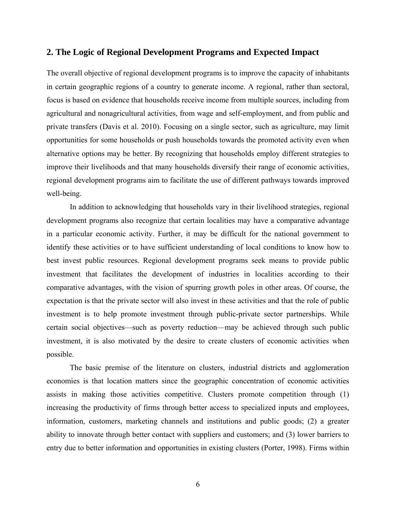#### **2. The Logic of Regional Development Programs and Expected Impact**

The overall objective of regional development programs is to improve the capacity of inhabitants in certain geographic regions of a country to generate income. A regional, rather than sectoral, focus is based on evidence that households receive income from multiple sources, including from agricultural and nonagricultural activities, from wage and self-employment, and from public and private transfers (Davis et al. 2010). Focusing on a single sector, such as agriculture, may limit opportunities for some households or push households towards the promoted activity even when alternative options may be better. By recognizing that households employ different strategies to improve their livelihoods and that many households diversify their range of economic activities, regional development programs aim to facilitate the use of different pathways towards improved well-being.

In addition to acknowledging that households vary in their livelihood strategies, regional development programs also recognize that certain localities may have a comparative advantage in a particular economic activity. Further, it may be difficult for the national government to identify these activities or to have sufficient understanding of local conditions to know how to best invest public resources. Regional development programs seek means to provide public investment that facilitates the development of industries in localities according to their comparative advantages, with the vision of spurring growth poles in other areas. Of course, the expectation is that the private sector will also invest in these activities and that the role of public investment is to help promote investment through public-private sector partnerships. While certain social objectives—such as poverty reduction—may be achieved through such public investment, it is also motivated by the desire to create clusters of economic activities when possible.

The basic premise of the literature on clusters, industrial districts and agglomeration economies is that location matters since the geographic concentration of economic activities assists in making those activities competitive. Clusters promote competition through (1) increasing the productivity of firms through better access to specialized inputs and employees, information, customers, marketing channels and institutions and public goods; (2) a greater ability to innovate through better contact with suppliers and customers; and (3) lower barriers to entry due to better information and opportunities in existing clusters (Porter, 1998). Firms within

6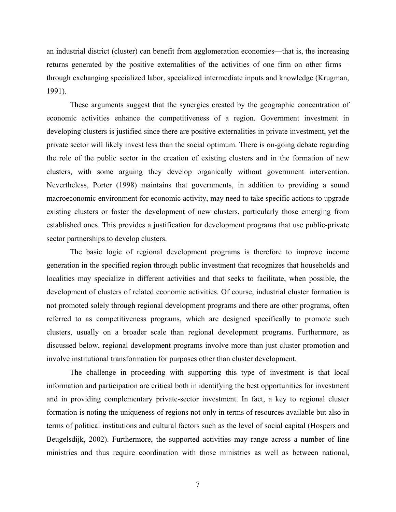an industrial district (cluster) can benefit from agglomeration economies—that is, the increasing returns generated by the positive externalities of the activities of one firm on other firms through exchanging specialized labor, specialized intermediate inputs and knowledge (Krugman, 1991).

These arguments suggest that the synergies created by the geographic concentration of economic activities enhance the competitiveness of a region. Government investment in developing clusters is justified since there are positive externalities in private investment, yet the private sector will likely invest less than the social optimum. There is on-going debate regarding the role of the public sector in the creation of existing clusters and in the formation of new clusters, with some arguing they develop organically without government intervention. Nevertheless, Porter (1998) maintains that governments, in addition to providing a sound macroeconomic environment for economic activity, may need to take specific actions to upgrade existing clusters or foster the development of new clusters, particularly those emerging from established ones. This provides a justification for development programs that use public-private sector partnerships to develop clusters.

The basic logic of regional development programs is therefore to improve income generation in the specified region through public investment that recognizes that households and localities may specialize in different activities and that seeks to facilitate, when possible, the development of clusters of related economic activities. Of course, industrial cluster formation is not promoted solely through regional development programs and there are other programs, often referred to as competitiveness programs, which are designed specifically to promote such clusters, usually on a broader scale than regional development programs. Furthermore, as discussed below, regional development programs involve more than just cluster promotion and involve institutional transformation for purposes other than cluster development.

The challenge in proceeding with supporting this type of investment is that local information and participation are critical both in identifying the best opportunities for investment and in providing complementary private-sector investment. In fact, a key to regional cluster formation is noting the uniqueness of regions not only in terms of resources available but also in terms of political institutions and cultural factors such as the level of social capital (Hospers and Beugelsdijk, 2002). Furthermore, the supported activities may range across a number of line ministries and thus require coordination with those ministries as well as between national,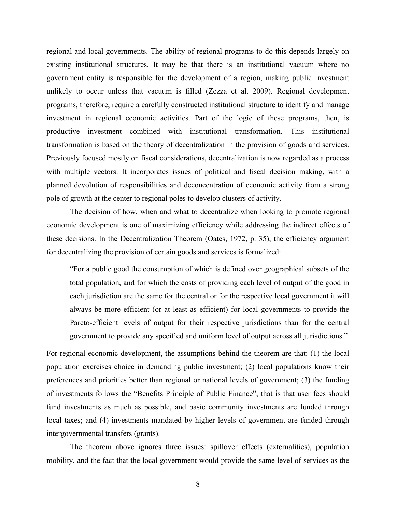regional and local governments. The ability of regional programs to do this depends largely on existing institutional structures. It may be that there is an institutional vacuum where no government entity is responsible for the development of a region, making public investment unlikely to occur unless that vacuum is filled (Zezza et al. 2009). Regional development programs, therefore, require a carefully constructed institutional structure to identify and manage investment in regional economic activities. Part of the logic of these programs, then, is productive investment combined with institutional transformation. This institutional transformation is based on the theory of decentralization in the provision of goods and services. Previously focused mostly on fiscal considerations, decentralization is now regarded as a process with multiple vectors. It incorporates issues of political and fiscal decision making, with a planned devolution of responsibilities and deconcentration of economic activity from a strong pole of growth at the center to regional poles to develop clusters of activity.

The decision of how, when and what to decentralize when looking to promote regional economic development is one of maximizing efficiency while addressing the indirect effects of these decisions. In the Decentralization Theorem (Oates, 1972, p. 35), the efficiency argument for decentralizing the provision of certain goods and services is formalized:

"For a public good the consumption of which is defined over geographical subsets of the total population, and for which the costs of providing each level of output of the good in each jurisdiction are the same for the central or for the respective local government it will always be more efficient (or at least as efficient) for local governments to provide the Pareto-efficient levels of output for their respective jurisdictions than for the central government to provide any specified and uniform level of output across all jurisdictions."

For regional economic development, the assumptions behind the theorem are that: (1) the local population exercises choice in demanding public investment; (2) local populations know their preferences and priorities better than regional or national levels of government; (3) the funding of investments follows the "Benefits Principle of Public Finance", that is that user fees should fund investments as much as possible, and basic community investments are funded through local taxes; and (4) investments mandated by higher levels of government are funded through intergovernmental transfers (grants).

The theorem above ignores three issues: spillover effects (externalities), population mobility, and the fact that the local government would provide the same level of services as the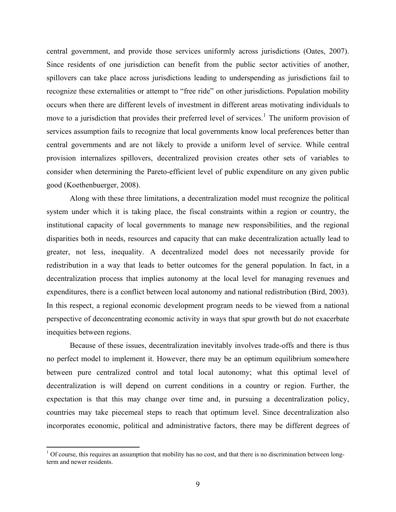central government, and provide those services uniformly across jurisdictions (Oates, 2007). Since residents of one jurisdiction can benefit from the public sector activities of another, spillovers can take place across jurisdictions leading to underspending as jurisdictions fail to recognize these externalities or attempt to "free ride" on other jurisdictions. Population mobility occurs when there are different levels of investment in different areas motivating individuals to move to a jurisdiction that provides their preferred level of services.<sup>[1](#page-11-0)</sup> The uniform provision of services assumption fails to recognize that local governments know local preferences better than central governments and are not likely to provide a uniform level of service. While central provision internalizes spillovers, decentralized provision creates other sets of variables to consider when determining the Pareto-efficient level of public expenditure on any given public good (Koethenbuerger, 2008).

Along with these three limitations, a decentralization model must recognize the political system under which it is taking place, the fiscal constraints within a region or country, the institutional capacity of local governments to manage new responsibilities, and the regional disparities both in needs, resources and capacity that can make decentralization actually lead to greater, not less, inequality. A decentralized model does not necessarily provide for redistribution in a way that leads to better outcomes for the general population. In fact, in a decentralization process that implies autonomy at the local level for managing revenues and expenditures, there is a conflict between local autonomy and national redistribution (Bird, 2003). In this respect, a regional economic development program needs to be viewed from a national perspective of deconcentrating economic activity in ways that spur growth but do not exacerbate inequities between regions.

Because of these issues, decentralization inevitably involves trade-offs and there is thus no perfect model to implement it. However, there may be an optimum equilibrium somewhere between pure centralized control and total local autonomy; what this optimal level of decentralization is will depend on current conditions in a country or region. Further, the expectation is that this may change over time and, in pursuing a decentralization policy, countries may take piecemeal steps to reach that optimum level. Since decentralization also incorporates economic, political and administrative factors, there may be different degrees of

<span id="page-11-0"></span> $1$  Of course, this requires an assumption that mobility has no cost, and that there is no discrimination between longterm and newer residents.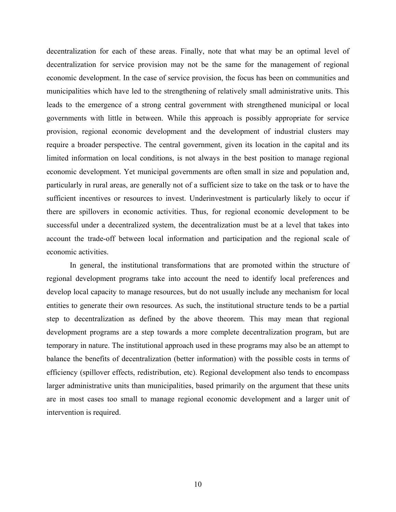decentralization for each of these areas. Finally, note that what may be an optimal level of decentralization for service provision may not be the same for the management of regional economic development. In the case of service provision, the focus has been on communities and municipalities which have led to the strengthening of relatively small administrative units. This leads to the emergence of a strong central government with strengthened municipal or local governments with little in between. While this approach is possibly appropriate for service provision, regional economic development and the development of industrial clusters may require a broader perspective. The central government, given its location in the capital and its limited information on local conditions, is not always in the best position to manage regional economic development. Yet municipal governments are often small in size and population and, particularly in rural areas, are generally not of a sufficient size to take on the task or to have the sufficient incentives or resources to invest. Underinvestment is particularly likely to occur if there are spillovers in economic activities. Thus, for regional economic development to be successful under a decentralized system, the decentralization must be at a level that takes into account the trade-off between local information and participation and the regional scale of economic activities.

In general, the institutional transformations that are promoted within the structure of regional development programs take into account the need to identify local preferences and develop local capacity to manage resources, but do not usually include any mechanism for local entities to generate their own resources. As such, the institutional structure tends to be a partial step to decentralization as defined by the above theorem. This may mean that regional development programs are a step towards a more complete decentralization program, but are temporary in nature. The institutional approach used in these programs may also be an attempt to balance the benefits of decentralization (better information) with the possible costs in terms of efficiency (spillover effects, redistribution, etc). Regional development also tends to encompass larger administrative units than municipalities, based primarily on the argument that these units are in most cases too small to manage regional economic development and a larger unit of intervention is required.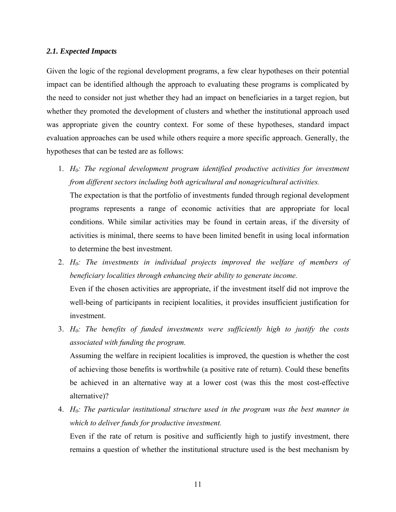#### *2.1. Expected Impacts*

Given the logic of the regional development programs, a few clear hypotheses on their potential impact can be identified although the approach to evaluating these programs is complicated by the need to consider not just whether they had an impact on beneficiaries in a target region, but whether they promoted the development of clusters and whether the institutional approach used was appropriate given the country context. For some of these hypotheses, standard impact evaluation approaches can be used while others require a more specific approach. Generally, the hypotheses that can be tested are as follows:

1. *H0: The regional development program identified productive activities for investment from different sectors including both agricultural and nonagricultural activities.* 

 The expectation is that the portfolio of investments funded through regional development programs represents a range of economic activities that are appropriate for local conditions. While similar activities may be found in certain areas, if the diversity of activities is minimal, there seems to have been limited benefit in using local information to determine the best investment.

- 2. *H0: The investments in individual projects improved the welfare of members of beneficiary localities through enhancing their ability to generate income.*  Even if the chosen activities are appropriate, if the investment itself did not improve the well-being of participants in recipient localities, it provides insufficient justification for investment.
- 3. *H0: The benefits of funded investments were sufficiently high to justify the costs associated with funding the program.*

 Assuming the welfare in recipient localities is improved, the question is whether the cost of achieving those benefits is worthwhile (a positive rate of return). Could these benefits be achieved in an alternative way at a lower cost (was this the most cost-effective alternative)?

4. *H0: The particular institutional structure used in the program was the best manner in which to deliver funds for productive investment.* 

 Even if the rate of return is positive and sufficiently high to justify investment, there remains a question of whether the institutional structure used is the best mechanism by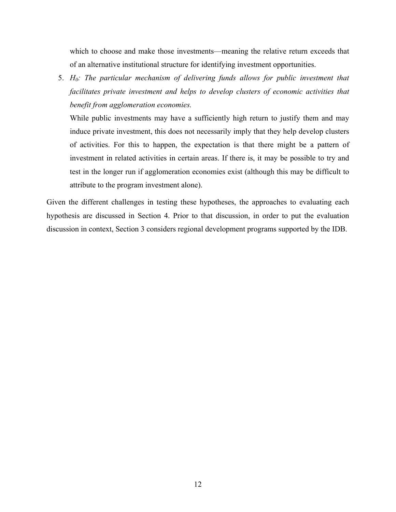which to choose and make those investments—meaning the relative return exceeds that of an alternative institutional structure for identifying investment opportunities.

5. *H0: The particular mechanism of delivering funds allows for public investment that facilitates private investment and helps to develop clusters of economic activities that benefit from agglomeration economies.* 

 While public investments may have a sufficiently high return to justify them and may induce private investment, this does not necessarily imply that they help develop clusters of activities. For this to happen, the expectation is that there might be a pattern of investment in related activities in certain areas. If there is, it may be possible to try and test in the longer run if agglomeration economies exist (although this may be difficult to attribute to the program investment alone).

Given the different challenges in testing these hypotheses, the approaches to evaluating each hypothesis are discussed in Section 4. Prior to that discussion, in order to put the evaluation discussion in context, Section 3 considers regional development programs supported by the IDB.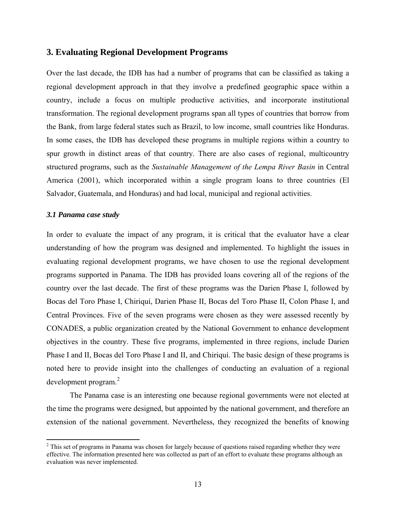#### **3. Evaluating Regional Development Programs**

Over the last decade, the IDB has had a number of programs that can be classified as taking a regional development approach in that they involve a predefined geographic space within a country, include a focus on multiple productive activities, and incorporate institutional transformation. The regional development programs span all types of countries that borrow from the Bank, from large federal states such as Brazil, to low income, small countries like Honduras. In some cases, the IDB has developed these programs in multiple regions within a country to spur growth in distinct areas of that country. There are also cases of regional, multicountry structured programs, such as the *Sustainable Management of the Lempa River Basin* in Central America (2001), which incorporated within a single program loans to three countries (El Salvador, Guatemala, and Honduras) and had local, municipal and regional activities.

#### *3.1 Panama case study*

In order to evaluate the impact of any program, it is critical that the evaluator have a clear understanding of how the program was designed and implemented. To highlight the issues in evaluating regional development programs, we have chosen to use the regional development programs supported in Panama. The IDB has provided loans covering all of the regions of the country over the last decade. The first of these programs was the Darien Phase I, followed by Bocas del Toro Phase I, Chiriquí, Darien Phase II, Bocas del Toro Phase II, Colon Phase I, and Central Provinces. Five of the seven programs were chosen as they were assessed recently by CONADES, a public organization created by the National Government to enhance development objectives in the country. These five programs, implemented in three regions, include Darien Phase I and II, Bocas del Toro Phase I and II, and Chiriquí. The basic design of these programs is noted here to provide insight into the challenges of conducting an evaluation of a regional development program.[2](#page-15-0)

The Panama case is an interesting one because regional governments were not elected at the time the programs were designed, but appointed by the national government, and therefore an extension of the national government. Nevertheless, they recognized the benefits of knowing

<span id="page-15-0"></span> $2$  This set of programs in Panama was chosen for largely because of questions raised regarding whether they were effective. The information presented here was collected as part of an effort to evaluate these programs although an evaluation was never implemented.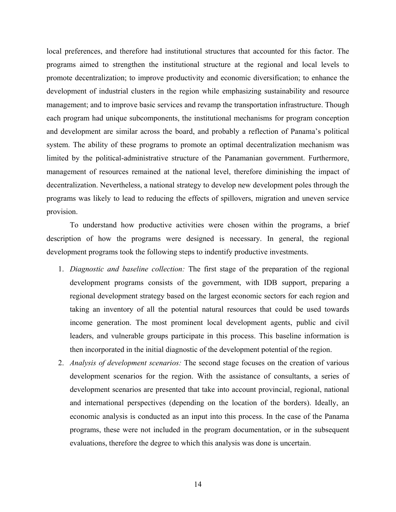local preferences, and therefore had institutional structures that accounted for this factor. The programs aimed to strengthen the institutional structure at the regional and local levels to promote decentralization; to improve productivity and economic diversification; to enhance the development of industrial clusters in the region while emphasizing sustainability and resource management; and to improve basic services and revamp the transportation infrastructure. Though each program had unique subcomponents, the institutional mechanisms for program conception and development are similar across the board, and probably a reflection of Panama's political system. The ability of these programs to promote an optimal decentralization mechanism was limited by the political-administrative structure of the Panamanian government. Furthermore, management of resources remained at the national level, therefore diminishing the impact of decentralization. Nevertheless, a national strategy to develop new development poles through the programs was likely to lead to reducing the effects of spillovers, migration and uneven service provision.

To understand how productive activities were chosen within the programs, a brief description of how the programs were designed is necessary. In general, the regional development programs took the following steps to indentify productive investments.

- 1. *Diagnostic and baseline collection:* The first stage of the preparation of the regional development programs consists of the government, with IDB support, preparing a regional development strategy based on the largest economic sectors for each region and taking an inventory of all the potential natural resources that could be used towards income generation. The most prominent local development agents, public and civil leaders, and vulnerable groups participate in this process. This baseline information is then incorporated in the initial diagnostic of the development potential of the region.
- 2. *Analysis of development scenarios:* The second stage focuses on the creation of various development scenarios for the region. With the assistance of consultants, a series of development scenarios are presented that take into account provincial, regional, national and international perspectives (depending on the location of the borders). Ideally, an economic analysis is conducted as an input into this process. In the case of the Panama programs, these were not included in the program documentation, or in the subsequent evaluations, therefore the degree to which this analysis was done is uncertain.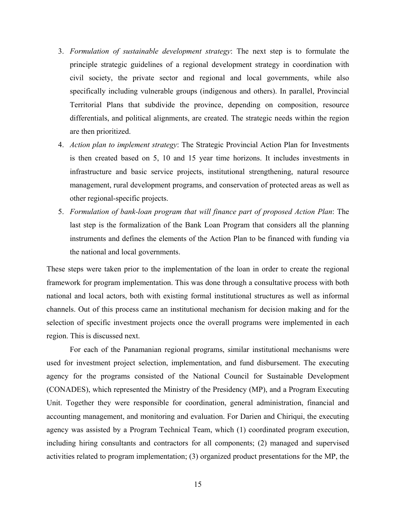- 3. *Formulation of sustainable development strategy*: The next step is to formulate the principle strategic guidelines of a regional development strategy in coordination with civil society, the private sector and regional and local governments, while also specifically including vulnerable groups (indigenous and others). In parallel, Provincial Territorial Plans that subdivide the province, depending on composition, resource differentials, and political alignments, are created. The strategic needs within the region are then prioritized.
- 4. *Action plan to implement strategy*: The Strategic Provincial Action Plan for Investments is then created based on 5, 10 and 15 year time horizons. It includes investments in infrastructure and basic service projects, institutional strengthening, natural resource management, rural development programs, and conservation of protected areas as well as other regional-specific projects.
- 5. *Formulation of bank-loan program that will finance part of proposed Action Plan*: The last step is the formalization of the Bank Loan Program that considers all the planning instruments and defines the elements of the Action Plan to be financed with funding via the national and local governments.

These steps were taken prior to the implementation of the loan in order to create the regional framework for program implementation. This was done through a consultative process with both national and local actors, both with existing formal institutional structures as well as informal channels. Out of this process came an institutional mechanism for decision making and for the selection of specific investment projects once the overall programs were implemented in each region. This is discussed next.

For each of the Panamanian regional programs, similar institutional mechanisms were used for investment project selection, implementation, and fund disbursement. The executing agency for the programs consisted of the National Council for Sustainable Development (CONADES), which represented the Ministry of the Presidency (MP), and a Program Executing Unit. Together they were responsible for coordination, general administration, financial and accounting management, and monitoring and evaluation. For Darien and Chiriqui, the executing agency was assisted by a Program Technical Team, which (1) coordinated program execution, including hiring consultants and contractors for all components; (2) managed and supervised activities related to program implementation; (3) organized product presentations for the MP, the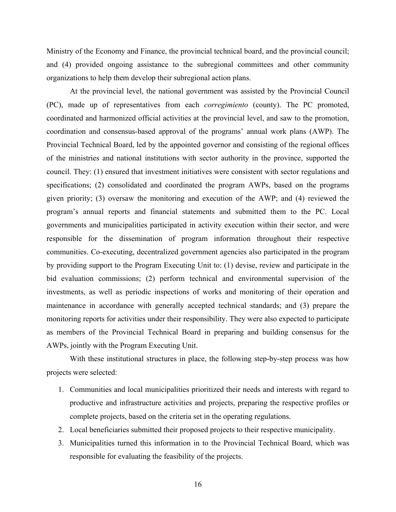Ministry of the Economy and Finance, the provincial technical board, and the provincial council; and (4) provided ongoing assistance to the subregional committees and other community organizations to help them develop their subregional action plans.

At the provincial level, the national government was assisted by the Provincial Council (PC), made up of representatives from each *corregimiento* (county). The PC promoted, coordinated and harmonized official activities at the provincial level, and saw to the promotion, coordination and consensus-based approval of the programs' annual work plans (AWP). The Provincial Technical Board, led by the appointed governor and consisting of the regional offices of the ministries and national institutions with sector authority in the province, supported the council. They: (1) ensured that investment initiatives were consistent with sector regulations and specifications; (2) consolidated and coordinated the program AWPs, based on the programs given priority; (3) oversaw the monitoring and execution of the AWP; and (4) reviewed the program's annual reports and financial statements and submitted them to the PC. Local governments and municipalities participated in activity execution within their sector, and were responsible for the dissemination of program information throughout their respective communities. Co-executing, decentralized government agencies also participated in the program by providing support to the Program Executing Unit to: (1) devise, review and participate in the bid evaluation commissions; (2) perform technical and environmental supervision of the investments, as well as periodic inspections of works and monitoring of their operation and maintenance in accordance with generally accepted technical standards; and (3) prepare the monitoring reports for activities under their responsibility. They were also expected to participate as members of the Provincial Technical Board in preparing and building consensus for the AWPs, jointly with the Program Executing Unit.

With these institutional structures in place, the following step-by-step process was how projects were selected:

- 1. Communities and local municipalities prioritized their needs and interests with regard to productive and infrastructure activities and projects, preparing the respective profiles or complete projects, based on the criteria set in the operating regulations.
- 2. Local beneficiaries submitted their proposed projects to their respective municipality.
- 3. Municipalities turned this information in to the Provincial Technical Board, which was responsible for evaluating the feasibility of the projects.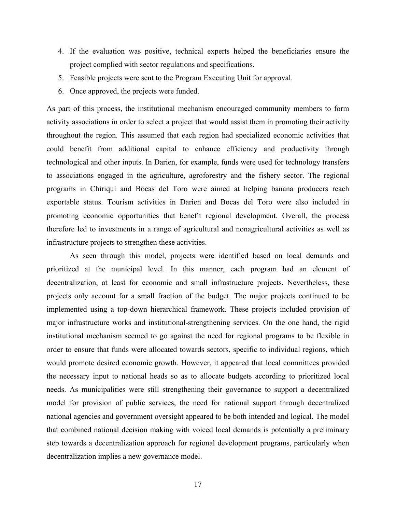- 4. If the evaluation was positive, technical experts helped the beneficiaries ensure the project complied with sector regulations and specifications.
- 5. Feasible projects were sent to the Program Executing Unit for approval.
- 6. Once approved, the projects were funded.

As part of this process, the institutional mechanism encouraged community members to form activity associations in order to select a project that would assist them in promoting their activity throughout the region. This assumed that each region had specialized economic activities that could benefit from additional capital to enhance efficiency and productivity through technological and other inputs. In Darien, for example, funds were used for technology transfers to associations engaged in the agriculture, agroforestry and the fishery sector. The regional programs in Chiriqui and Bocas del Toro were aimed at helping banana producers reach exportable status. Tourism activities in Darien and Bocas del Toro were also included in promoting economic opportunities that benefit regional development. Overall, the process therefore led to investments in a range of agricultural and nonagricultural activities as well as infrastructure projects to strengthen these activities.

As seen through this model, projects were identified based on local demands and prioritized at the municipal level. In this manner, each program had an element of decentralization, at least for economic and small infrastructure projects. Nevertheless, these projects only account for a small fraction of the budget. The major projects continued to be implemented using a top-down hierarchical framework. These projects included provision of major infrastructure works and institutional-strengthening services. On the one hand, the rigid institutional mechanism seemed to go against the need for regional programs to be flexible in order to ensure that funds were allocated towards sectors, specific to individual regions, which would promote desired economic growth. However, it appeared that local committees provided the necessary input to national heads so as to allocate budgets according to prioritized local needs. As municipalities were still strengthening their governance to support a decentralized model for provision of public services, the need for national support through decentralized national agencies and government oversight appeared to be both intended and logical. The model that combined national decision making with voiced local demands is potentially a preliminary step towards a decentralization approach for regional development programs, particularly when decentralization implies a new governance model.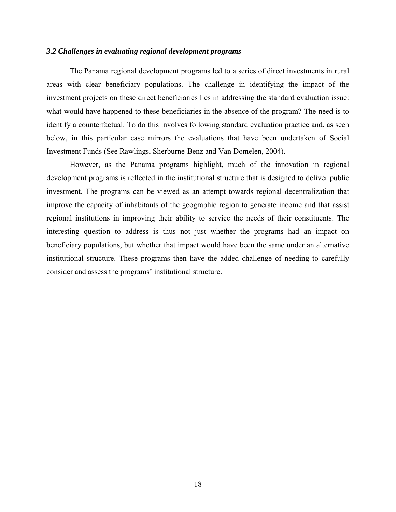#### *3.2 Challenges in evaluating regional development programs*

The Panama regional development programs led to a series of direct investments in rural areas with clear beneficiary populations. The challenge in identifying the impact of the investment projects on these direct beneficiaries lies in addressing the standard evaluation issue: what would have happened to these beneficiaries in the absence of the program? The need is to identify a counterfactual. To do this involves following standard evaluation practice and, as seen below, in this particular case mirrors the evaluations that have been undertaken of Social Investment Funds (See Rawlings, Sherburne-Benz and Van Domelen, 2004).

However, as the Panama programs highlight, much of the innovation in regional development programs is reflected in the institutional structure that is designed to deliver public investment. The programs can be viewed as an attempt towards regional decentralization that improve the capacity of inhabitants of the geographic region to generate income and that assist regional institutions in improving their ability to service the needs of their constituents. The interesting question to address is thus not just whether the programs had an impact on beneficiary populations, but whether that impact would have been the same under an alternative institutional structure. These programs then have the added challenge of needing to carefully consider and assess the programs' institutional structure.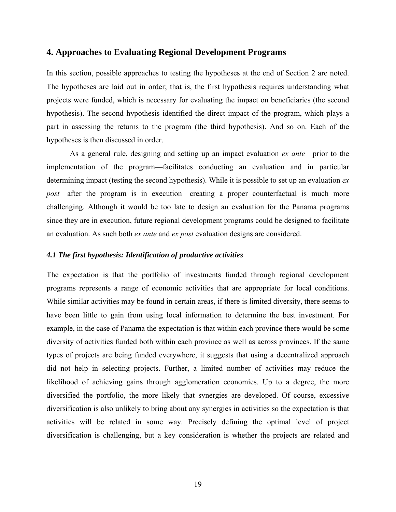#### **4. Approaches to Evaluating Regional Development Programs**

In this section, possible approaches to testing the hypotheses at the end of Section 2 are noted. The hypotheses are laid out in order; that is, the first hypothesis requires understanding what projects were funded, which is necessary for evaluating the impact on beneficiaries (the second hypothesis). The second hypothesis identified the direct impact of the program, which plays a part in assessing the returns to the program (the third hypothesis). And so on. Each of the hypotheses is then discussed in order.

As a general rule, designing and setting up an impact evaluation *ex ante*—prior to the implementation of the program—facilitates conducting an evaluation and in particular determining impact (testing the second hypothesis). While it is possible to set up an evaluation *ex post*—after the program is in execution—creating a proper counterfactual is much more challenging. Although it would be too late to design an evaluation for the Panama programs since they are in execution, future regional development programs could be designed to facilitate an evaluation. As such both *ex ante* and *ex post* evaluation designs are considered.

#### *4.1 The first hypothesis: Identification of productive activities*

The expectation is that the portfolio of investments funded through regional development programs represents a range of economic activities that are appropriate for local conditions. While similar activities may be found in certain areas, if there is limited diversity, there seems to have been little to gain from using local information to determine the best investment. For example, in the case of Panama the expectation is that within each province there would be some diversity of activities funded both within each province as well as across provinces. If the same types of projects are being funded everywhere, it suggests that using a decentralized approach did not help in selecting projects. Further, a limited number of activities may reduce the likelihood of achieving gains through agglomeration economies. Up to a degree, the more diversified the portfolio, the more likely that synergies are developed. Of course, excessive diversification is also unlikely to bring about any synergies in activities so the expectation is that activities will be related in some way. Precisely defining the optimal level of project diversification is challenging, but a key consideration is whether the projects are related and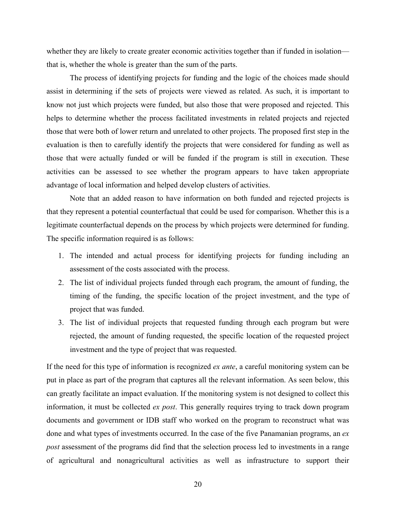whether they are likely to create greater economic activities together than if funded in isolation that is, whether the whole is greater than the sum of the parts.

The process of identifying projects for funding and the logic of the choices made should assist in determining if the sets of projects were viewed as related. As such, it is important to know not just which projects were funded, but also those that were proposed and rejected. This helps to determine whether the process facilitated investments in related projects and rejected those that were both of lower return and unrelated to other projects. The proposed first step in the evaluation is then to carefully identify the projects that were considered for funding as well as those that were actually funded or will be funded if the program is still in execution. These activities can be assessed to see whether the program appears to have taken appropriate advantage of local information and helped develop clusters of activities.

Note that an added reason to have information on both funded and rejected projects is that they represent a potential counterfactual that could be used for comparison. Whether this is a legitimate counterfactual depends on the process by which projects were determined for funding. The specific information required is as follows:

- 1. The intended and actual process for identifying projects for funding including an assessment of the costs associated with the process.
- 2. The list of individual projects funded through each program, the amount of funding, the timing of the funding, the specific location of the project investment, and the type of project that was funded.
- 3. The list of individual projects that requested funding through each program but were rejected, the amount of funding requested, the specific location of the requested project investment and the type of project that was requested.

If the need for this type of information is recognized *ex ante*, a careful monitoring system can be put in place as part of the program that captures all the relevant information. As seen below, this can greatly facilitate an impact evaluation. If the monitoring system is not designed to collect this information, it must be collected *ex post*. This generally requires trying to track down program documents and government or IDB staff who worked on the program to reconstruct what was done and what types of investments occurred. In the case of the five Panamanian programs, an *ex post* assessment of the programs did find that the selection process led to investments in a range of agricultural and nonagricultural activities as well as infrastructure to support their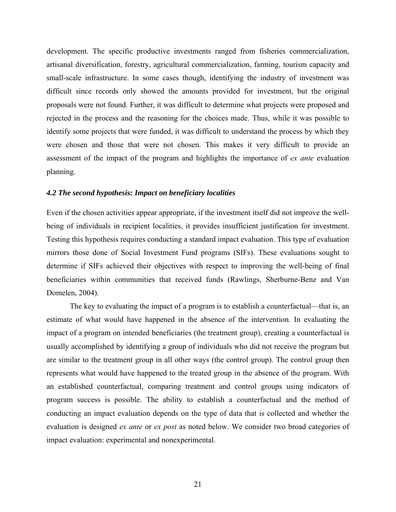development. The specific productive investments ranged from fisheries commercialization, artisanal diversification, forestry, agricultural commercialization, farming, tourism capacity and small-scale infrastructure. In some cases though, identifying the industry of investment was difficult since records only showed the amounts provided for investment, but the original proposals were not found. Further, it was difficult to determine what projects were proposed and rejected in the process and the reasoning for the choices made. Thus, while it was possible to identify some projects that were funded, it was difficult to understand the process by which they were chosen and those that were not chosen. This makes it very difficult to provide an assessment of the impact of the program and highlights the importance of *ex ante* evaluation planning.

#### *4.2 The second hypothesis: Impact on beneficiary localities*

Even if the chosen activities appear appropriate, if the investment itself did not improve the wellbeing of individuals in recipient localities, it provides insufficient justification for investment. Testing this hypothesis requires conducting a standard impact evaluation. This type of evaluation mirrors those done of Social Investment Fund programs (SIFs). These evaluations sought to determine if SIFs achieved their objectives with respect to improving the well-being of final beneficiaries within communities that received funds (Rawlings, Sherburne-Benz and Van Domelen, 2004).

The key to evaluating the impact of a program is to establish a counterfactual—that is, an estimate of what would have happened in the absence of the intervention. In evaluating the impact of a program on intended beneficiaries (the treatment group), creating a counterfactual is usually accomplished by identifying a group of individuals who did not receive the program but are similar to the treatment group in all other ways (the control group). The control group then represents what would have happened to the treated group in the absence of the program. With an established counterfactual, comparing treatment and control groups using indicators of program success is possible. The ability to establish a counterfactual and the method of conducting an impact evaluation depends on the type of data that is collected and whether the evaluation is designed *ex ante* or *ex post* as noted below. We consider two broad categories of impact evaluation: experimental and nonexperimental.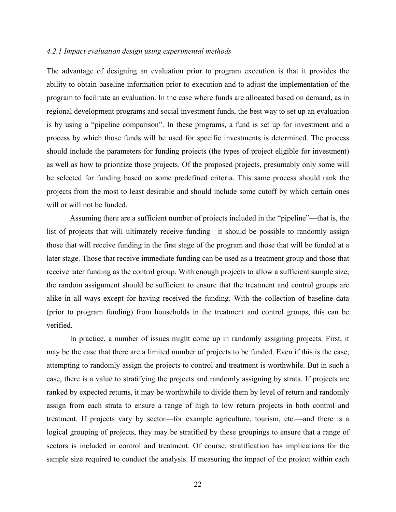#### *4.2.1 Impact evaluation design using experimental methods*

The advantage of designing an evaluation prior to program execution is that it provides the ability to obtain baseline information prior to execution and to adjust the implementation of the program to facilitate an evaluation. In the case where funds are allocated based on demand, as in regional development programs and social investment funds, the best way to set up an evaluation is by using a "pipeline comparison". In these programs, a fund is set up for investment and a process by which those funds will be used for specific investments is determined. The process should include the parameters for funding projects (the types of project eligible for investment) as well as how to prioritize those projects. Of the proposed projects, presumably only some will be selected for funding based on some predefined criteria. This same process should rank the projects from the most to least desirable and should include some cutoff by which certain ones will or will not be funded.

Assuming there are a sufficient number of projects included in the "pipeline"—that is, the list of projects that will ultimately receive funding—it should be possible to randomly assign those that will receive funding in the first stage of the program and those that will be funded at a later stage. Those that receive immediate funding can be used as a treatment group and those that receive later funding as the control group. With enough projects to allow a sufficient sample size, the random assignment should be sufficient to ensure that the treatment and control groups are alike in all ways except for having received the funding. With the collection of baseline data (prior to program funding) from households in the treatment and control groups, this can be verified.

In practice, a number of issues might come up in randomly assigning projects. First, it may be the case that there are a limited number of projects to be funded. Even if this is the case, attempting to randomly assign the projects to control and treatment is worthwhile. But in such a case, there is a value to stratifying the projects and randomly assigning by strata. If projects are ranked by expected returns, it may be worthwhile to divide them by level of return and randomly assign from each strata to ensure a range of high to low return projects in both control and treatment. If projects vary by sector—for example agriculture, tourism, etc.—and there is a logical grouping of projects, they may be stratified by these groupings to ensure that a range of sectors is included in control and treatment. Of course, stratification has implications for the sample size required to conduct the analysis. If measuring the impact of the project within each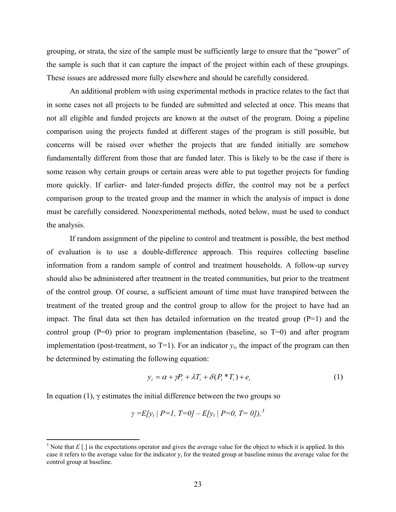grouping, or strata, the size of the sample must be sufficiently large to ensure that the "power" of the sample is such that it can capture the impact of the project within each of these groupings. These issues are addressed more fully elsewhere and should be carefully considered.

An additional problem with using experimental methods in practice relates to the fact that in some cases not all projects to be funded are submitted and selected at once. This means that not all eligible and funded projects are known at the outset of the program. Doing a pipeline comparison using the projects funded at different stages of the program is still possible, but concerns will be raised over whether the projects that are funded initially are somehow fundamentally different from those that are funded later. This is likely to be the case if there is some reason why certain groups or certain areas were able to put together projects for funding more quickly. If earlier- and later-funded projects differ, the control may not be a perfect comparison group to the treated group and the manner in which the analysis of impact is done must be carefully considered. Nonexperimental methods, noted below, must be used to conduct the analysis.

If random assignment of the pipeline to control and treatment is possible, the best method of evaluation is to use a double-difference approach. This requires collecting baseline information from a random sample of control and treatment households. A follow-up survey should also be administered after treatment in the treated communities, but prior to the treatment of the control group. Of course, a sufficient amount of time must have transpired between the treatment of the treated group and the control group to allow for the project to have had an impact. The final data set then has detailed information on the treated group  $(P=1)$  and the control group  $(P=0)$  prior to program implementation (baseline, so  $T=0$ ) and after program implementation (post-treatment, so  $T=1$ ). For an indicator  $y_i$ , the impact of the program can then be determined by estimating the following equation:

$$
y_i = \alpha + \gamma P_i + \lambda T_i + \delta (P_i * T_i) + e_i \tag{1}
$$

In equation (1),  $\gamma$  estimates the initial difference between the two groups so

$$
\gamma = E[y_i | P=1, T=0] - E[y_i | P=0, T=0])^3
$$

<span id="page-25-0"></span><sup>&</sup>lt;sup>3</sup> Note that  $E$  [.] is the expectations operator and gives the average value for the object to which it is applied. In this case it refers to the average value for the indicator yi for the treated group at baseline minus the average value for the control group at baseline.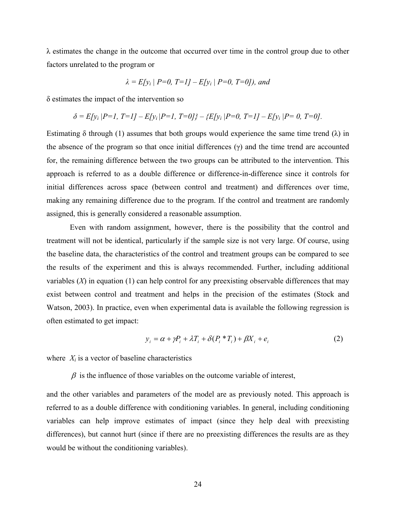λ estimates the change in the outcome that occurred over time in the control group due to other factors unrelated to the program or

$$
\lambda = E[y_i | P=0, T=1] - E[y_i | P=0, T=0]),
$$
 and

δ estimates the impact of the intervention so

$$
\delta = E[y_i | P=1, T=1] - E[y_i | P=1, T=0]\} - \{E[y_i | P=0, T=1] - E[y_i | P=0, T=0].
$$

Estimating  $\delta$  through (1) assumes that both groups would experience the same time trend ( $\lambda$ ) in the absence of the program so that once initial differences  $(\gamma)$  and the time trend are accounted for, the remaining difference between the two groups can be attributed to the intervention. This approach is referred to as a double difference or difference-in-difference since it controls for initial differences across space (between control and treatment) and differences over time, making any remaining difference due to the program. If the control and treatment are randomly assigned, this is generally considered a reasonable assumption.

Even with random assignment, however, there is the possibility that the control and treatment will not be identical, particularly if the sample size is not very large. Of course, using the baseline data, the characteristics of the control and treatment groups can be compared to see the results of the experiment and this is always recommended. Further, including additional variables  $(X)$  in equation (1) can help control for any preexisting observable differences that may exist between control and treatment and helps in the precision of the estimates (Stock and Watson, 2003). In practice, even when experimental data is available the following regression is often estimated to get impact:

$$
y_i = \alpha + \gamma P_i + \lambda T_i + \delta(P_i^* T_i) + \beta X_i + e_i \tag{2}
$$

where  $X_i$  is a vector of baseline characteristics

 $\beta$  is the influence of those variables on the outcome variable of interest,

and the other variables and parameters of the model are as previously noted. This approach is referred to as a double difference with conditioning variables. In general, including conditioning variables can help improve estimates of impact (since they help deal with preexisting differences), but cannot hurt (since if there are no preexisting differences the results are as they would be without the conditioning variables).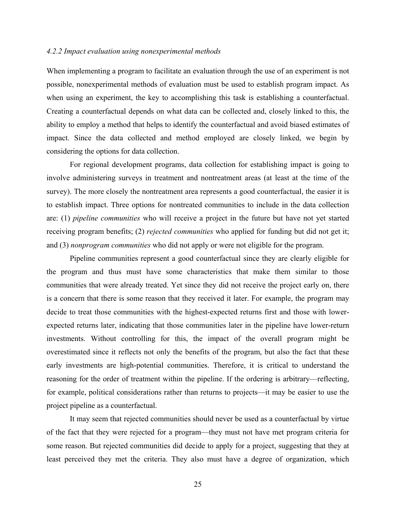#### *4.2.2 Impact evaluation using nonexperimental methods*

When implementing a program to facilitate an evaluation through the use of an experiment is not possible, nonexperimental methods of evaluation must be used to establish program impact. As when using an experiment, the key to accomplishing this task is establishing a counterfactual. Creating a counterfactual depends on what data can be collected and, closely linked to this, the ability to employ a method that helps to identify the counterfactual and avoid biased estimates of impact. Since the data collected and method employed are closely linked, we begin by considering the options for data collection.

For regional development programs, data collection for establishing impact is going to involve administering surveys in treatment and nontreatment areas (at least at the time of the survey). The more closely the nontreatment area represents a good counterfactual, the easier it is to establish impact. Three options for nontreated communities to include in the data collection are: (1) *pipeline communities* who will receive a project in the future but have not yet started receiving program benefits; (2) *rejected communities* who applied for funding but did not get it; and (3) *nonprogram communities* who did not apply or were not eligible for the program.

Pipeline communities represent a good counterfactual since they are clearly eligible for the program and thus must have some characteristics that make them similar to those communities that were already treated. Yet since they did not receive the project early on, there is a concern that there is some reason that they received it later. For example, the program may decide to treat those communities with the highest-expected returns first and those with lowerexpected returns later, indicating that those communities later in the pipeline have lower-return investments. Without controlling for this, the impact of the overall program might be overestimated since it reflects not only the benefits of the program, but also the fact that these early investments are high-potential communities. Therefore, it is critical to understand the reasoning for the order of treatment within the pipeline. If the ordering is arbitrary—reflecting, for example, political considerations rather than returns to projects—it may be easier to use the project pipeline as a counterfactual.

It may seem that rejected communities should never be used as a counterfactual by virtue of the fact that they were rejected for a program—they must not have met program criteria for some reason. But rejected communities did decide to apply for a project, suggesting that they at least perceived they met the criteria. They also must have a degree of organization, which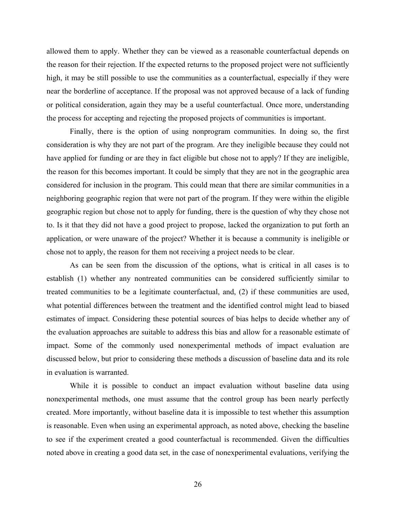allowed them to apply. Whether they can be viewed as a reasonable counterfactual depends on the reason for their rejection. If the expected returns to the proposed project were not sufficiently high, it may be still possible to use the communities as a counterfactual, especially if they were near the borderline of acceptance. If the proposal was not approved because of a lack of funding or political consideration, again they may be a useful counterfactual. Once more, understanding the process for accepting and rejecting the proposed projects of communities is important.

Finally, there is the option of using nonprogram communities. In doing so, the first consideration is why they are not part of the program. Are they ineligible because they could not have applied for funding or are they in fact eligible but chose not to apply? If they are ineligible, the reason for this becomes important. It could be simply that they are not in the geographic area considered for inclusion in the program. This could mean that there are similar communities in a neighboring geographic region that were not part of the program. If they were within the eligible geographic region but chose not to apply for funding, there is the question of why they chose not to. Is it that they did not have a good project to propose, lacked the organization to put forth an application, or were unaware of the project? Whether it is because a community is ineligible or chose not to apply, the reason for them not receiving a project needs to be clear.

As can be seen from the discussion of the options, what is critical in all cases is to establish (1) whether any nontreated communities can be considered sufficiently similar to treated communities to be a legitimate counterfactual, and, (2) if these communities are used, what potential differences between the treatment and the identified control might lead to biased estimates of impact. Considering these potential sources of bias helps to decide whether any of the evaluation approaches are suitable to address this bias and allow for a reasonable estimate of impact. Some of the commonly used nonexperimental methods of impact evaluation are discussed below, but prior to considering these methods a discussion of baseline data and its role in evaluation is warranted.

While it is possible to conduct an impact evaluation without baseline data using nonexperimental methods, one must assume that the control group has been nearly perfectly created. More importantly, without baseline data it is impossible to test whether this assumption is reasonable. Even when using an experimental approach, as noted above, checking the baseline to see if the experiment created a good counterfactual is recommended. Given the difficulties noted above in creating a good data set, in the case of nonexperimental evaluations, verifying the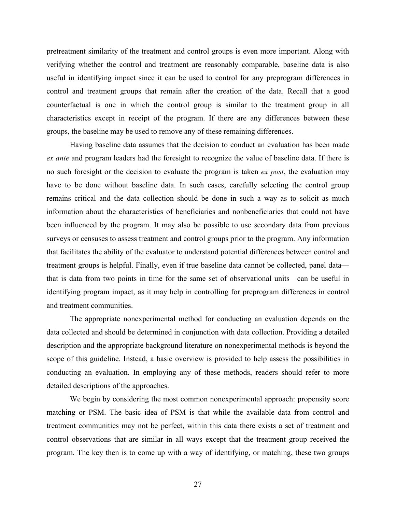pretreatment similarity of the treatment and control groups is even more important. Along with verifying whether the control and treatment are reasonably comparable, baseline data is also useful in identifying impact since it can be used to control for any preprogram differences in control and treatment groups that remain after the creation of the data. Recall that a good counterfactual is one in which the control group is similar to the treatment group in all characteristics except in receipt of the program. If there are any differences between these groups, the baseline may be used to remove any of these remaining differences.

Having baseline data assumes that the decision to conduct an evaluation has been made *ex ante* and program leaders had the foresight to recognize the value of baseline data. If there is no such foresight or the decision to evaluate the program is taken *ex post*, the evaluation may have to be done without baseline data. In such cases, carefully selecting the control group remains critical and the data collection should be done in such a way as to solicit as much information about the characteristics of beneficiaries and nonbeneficiaries that could not have been influenced by the program. It may also be possible to use secondary data from previous surveys or censuses to assess treatment and control groups prior to the program. Any information that facilitates the ability of the evaluator to understand potential differences between control and treatment groups is helpful. Finally, even if true baseline data cannot be collected, panel data that is data from two points in time for the same set of observational units—can be useful in identifying program impact, as it may help in controlling for preprogram differences in control and treatment communities.

The appropriate nonexperimental method for conducting an evaluation depends on the data collected and should be determined in conjunction with data collection. Providing a detailed description and the appropriate background literature on nonexperimental methods is beyond the scope of this guideline. Instead, a basic overview is provided to help assess the possibilities in conducting an evaluation. In employing any of these methods, readers should refer to more detailed descriptions of the approaches.

We begin by considering the most common nonexperimental approach: propensity score matching or PSM. The basic idea of PSM is that while the available data from control and treatment communities may not be perfect, within this data there exists a set of treatment and control observations that are similar in all ways except that the treatment group received the program. The key then is to come up with a way of identifying, or matching, these two groups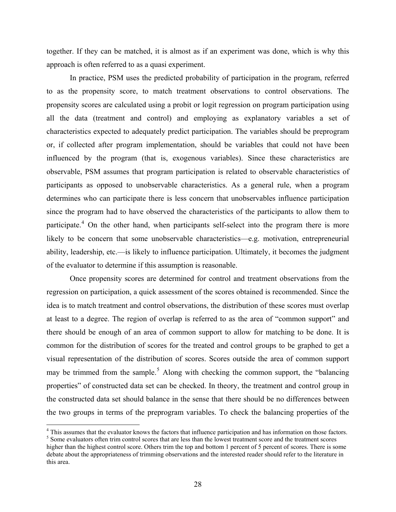together. If they can be matched, it is almost as if an experiment was done, which is why this approach is often referred to as a quasi experiment.

In practice, PSM uses the predicted probability of participation in the program, referred to as the propensity score, to match treatment observations to control observations. The propensity scores are calculated using a probit or logit regression on program participation using all the data (treatment and control) and employing as explanatory variables a set of characteristics expected to adequately predict participation. The variables should be preprogram or, if collected after program implementation, should be variables that could not have been influenced by the program (that is, exogenous variables). Since these characteristics are observable, PSM assumes that program participation is related to observable characteristics of participants as opposed to unobservable characteristics. As a general rule, when a program determines who can participate there is less concern that unobservables influence participation since the program had to have observed the characteristics of the participants to allow them to participate.<sup>[4](#page-30-0)</sup> On the other hand, when participants self-select into the program there is more likely to be concern that some unobservable characteristics—e.g. motivation, entrepreneurial ability, leadership, etc.—is likely to influence participation. Ultimately, it becomes the judgment of the evaluator to determine if this assumption is reasonable.

Once propensity scores are determined for control and treatment observations from the regression on participation, a quick assessment of the scores obtained is recommended. Since the idea is to match treatment and control observations, the distribution of these scores must overlap at least to a degree. The region of overlap is referred to as the area of "common support" and there should be enough of an area of common support to allow for matching to be done. It is common for the distribution of scores for the treated and control groups to be graphed to get a visual representation of the distribution of scores. Scores outside the area of common support may be trimmed from the sample.<sup>[5](#page-30-1)</sup> Along with checking the common support, the "balancing" properties" of constructed data set can be checked. In theory, the treatment and control group in the constructed data set should balance in the sense that there should be no differences between the two groups in terms of the preprogram variables. To check the balancing properties of the

<sup>&</sup>lt;sup>4</sup> This assumes that the evaluator knows the factors that influence participation and has information on those factors.

<span id="page-30-1"></span><span id="page-30-0"></span><sup>&</sup>lt;sup>5</sup> Some evaluators often trim control scores that are less than the lowest treatment score and the treatment scores higher than the highest control score. Others trim the top and bottom 1 percent of 5 percent of scores. There is some debate about the appropriateness of trimming observations and the interested reader should refer to the literature in this area.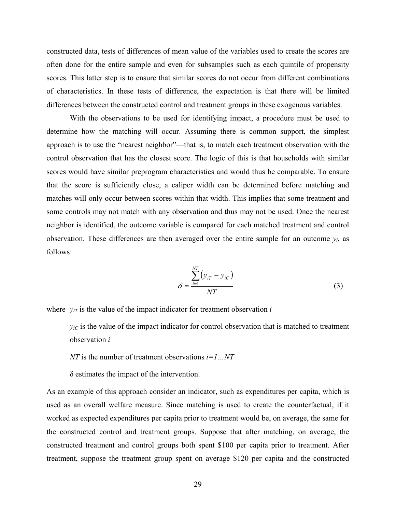constructed data, tests of differences of mean value of the variables used to create the scores are often done for the entire sample and even for subsamples such as each quintile of propensity scores. This latter step is to ensure that similar scores do not occur from different combinations of characteristics. In these tests of difference, the expectation is that there will be limited differences between the constructed control and treatment groups in these exogenous variables.

With the observations to be used for identifying impact, a procedure must be used to determine how the matching will occur. Assuming there is common support, the simplest approach is to use the "nearest neighbor"—that is, to match each treatment observation with the control observation that has the closest score. The logic of this is that households with similar scores would have similar preprogram characteristics and would thus be comparable. To ensure that the score is sufficiently close, a caliper width can be determined before matching and matches will only occur between scores within that width. This implies that some treatment and some controls may not match with any observation and thus may not be used. Once the nearest neighbor is identified, the outcome variable is compared for each matched treatment and control observation. These differences are then averaged over the entire sample for an outcome  $y_i$ , as follows:

$$
\delta = \frac{\sum_{i=1}^{NT} (y_{iT} - y_{iC})}{NT}
$$
\n(3)

where  $y_{iT}$  is the value of the impact indicator for treatment observation  $i$ 

 $y_i$ c is the value of the impact indicator for control observation that is matched to treatment observation *i* 

*NT* is the number of treatment observations *i=1…NT*

δ estimates the impact of the intervention.

As an example of this approach consider an indicator, such as expenditures per capita, which is used as an overall welfare measure. Since matching is used to create the counterfactual, if it worked as expected expenditures per capita prior to treatment would be, on average, the same for the constructed control and treatment groups. Suppose that after matching, on average, the constructed treatment and control groups both spent \$100 per capita prior to treatment. After treatment, suppose the treatment group spent on average \$120 per capita and the constructed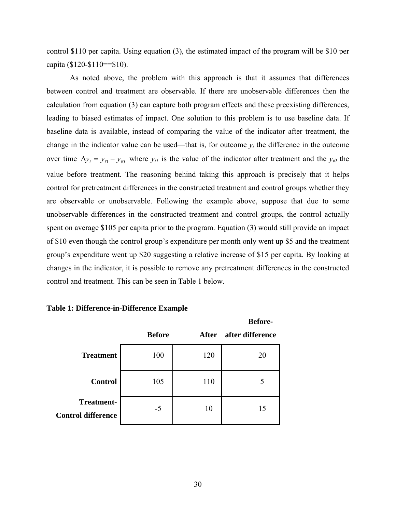control \$110 per capita. Using equation (3), the estimated impact of the program will be \$10 per capita (\$120-\$110==\$10).

As noted above, the problem with this approach is that it assumes that differences between control and treatment are observable. If there are unobservable differences then the calculation from equation (3) can capture both program effects and these preexisting differences, leading to biased estimates of impact. One solution to this problem is to use baseline data. If baseline data is available, instead of comparing the value of the indicator after treatment, the change in the indicator value can be used—that is, for outcome  $y_i$  the difference in the outcome over time  $\Delta y_i = y_{i1} - y_{i0}$  where  $y_{i1}$  is the value of the indicator after treatment and the  $y_{i0}$  the value before treatment. The reasoning behind taking this approach is precisely that it helps control for pretreatment differences in the constructed treatment and control groups whether they are observable or unobservable. Following the example above, suppose that due to some unobservable differences in the constructed treatment and control groups, the control actually spent on average \$105 per capita prior to the program. Equation (3) would still provide an impact of \$10 even though the control group's expenditure per month only went up \$5 and the treatment group's expenditure went up \$20 suggesting a relative increase of \$15 per capita. By looking at changes in the indicator, it is possible to remove any pretreatment differences in the constructed control and treatment. This can be seen in Table 1 below.

**Before-**

|                                                |               |              | DUUL V           |
|------------------------------------------------|---------------|--------------|------------------|
|                                                | <b>Before</b> | <b>After</b> | after difference |
| <b>Treatment</b>                               | 100           | 120          | 20               |
| <b>Control</b>                                 | 105           | 110          |                  |
| <b>Treatment-</b><br><b>Control difference</b> | $-5$          | 10           | 15               |

|  |  |  |  | Table 1: Difference-in-Difference Example |
|--|--|--|--|-------------------------------------------|
|--|--|--|--|-------------------------------------------|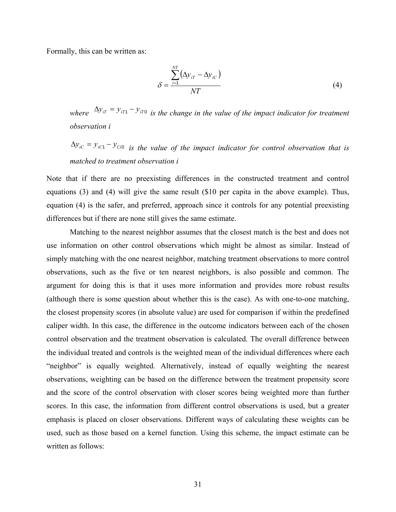Formally, this can be written as:

$$
\delta = \frac{\sum_{i=1}^{NT} (\Delta y_{iT} - \Delta y_{iC})}{NT}
$$
(4)

*where*  $\Delta y_{iT} = y_{iT1} - y_{iT0}$  *is the change in the value of the impact indicator for treatment observation i* 

 $\Delta y_{iC} = y_{iC1} - y_{Ci0}$  *is the value of the impact indicator for control observation that is matched to treatment observation i* 

Note that if there are no preexisting differences in the constructed treatment and control equations (3) and (4) will give the same result (\$10 per capita in the above example). Thus, equation (4) is the safer, and preferred, approach since it controls for any potential preexisting differences but if there are none still gives the same estimate.

Matching to the nearest neighbor assumes that the closest match is the best and does not use information on other control observations which might be almost as similar. Instead of simply matching with the one nearest neighbor, matching treatment observations to more control observations, such as the five or ten nearest neighbors, is also possible and common. The argument for doing this is that it uses more information and provides more robust results (although there is some question about whether this is the case). As with one-to-one matching, the closest propensity scores (in absolute value) are used for comparison if within the predefined caliper width. In this case, the difference in the outcome indicators between each of the chosen control observation and the treatment observation is calculated. The overall difference between the individual treated and controls is the weighted mean of the individual differences where each "neighbor" is equally weighted. Alternatively, instead of equally weighting the nearest observations, weighting can be based on the difference between the treatment propensity score and the score of the control observation with closer scores being weighted more than further scores. In this case, the information from different control observations is used, but a greater emphasis is placed on closer observations. Different ways of calculating these weights can be used, such as those based on a kernel function. Using this scheme, the impact estimate can be written as follows: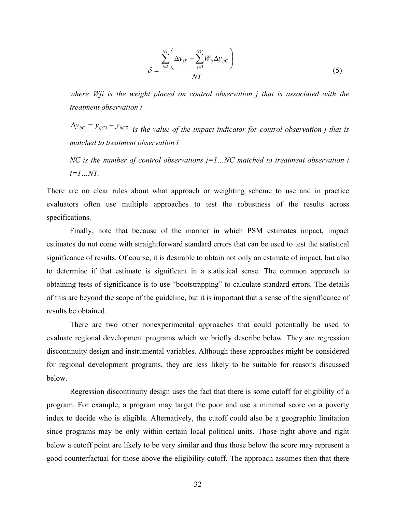$$
\delta = \frac{\sum_{i=1}^{NT} \left( \Delta y_{iT} - \sum_{j=1}^{NC} W_{ij} \Delta y_{ijC} \right)}{NT}
$$
(5)

*where Wji is the weight placed on control observation j that is associated with the treatment observation i* 

 $\Delta y_{ijC} = y_{ijC1} - y_{ijC0}$  *is the value of the impact indicator for control observation j that is matched to treatment observation i* 

*NC* is the number of control observations  $j=1...NC$  matched to treatment observation i *i=1…NT.* 

There are no clear rules about what approach or weighting scheme to use and in practice evaluators often use multiple approaches to test the robustness of the results across specifications.

Finally, note that because of the manner in which PSM estimates impact, impact estimates do not come with straightforward standard errors that can be used to test the statistical significance of results. Of course, it is desirable to obtain not only an estimate of impact, but also to determine if that estimate is significant in a statistical sense. The common approach to obtaining tests of significance is to use "bootstrapping" to calculate standard errors. The details of this are beyond the scope of the guideline, but it is important that a sense of the significance of results be obtained.

There are two other nonexperimental approaches that could potentially be used to evaluate regional development programs which we briefly describe below. They are regression discontinuity design and instrumental variables. Although these approaches might be considered for regional development programs, they are less likely to be suitable for reasons discussed below.

Regression discontinuity design uses the fact that there is some cutoff for eligibility of a program. For example, a program may target the poor and use a minimal score on a poverty index to decide who is eligible. Alternatively, the cutoff could also be a geographic limitation since programs may be only within certain local political units. Those right above and right below a cutoff point are likely to be very similar and thus those below the score may represent a good counterfactual for those above the eligibility cutoff. The approach assumes then that there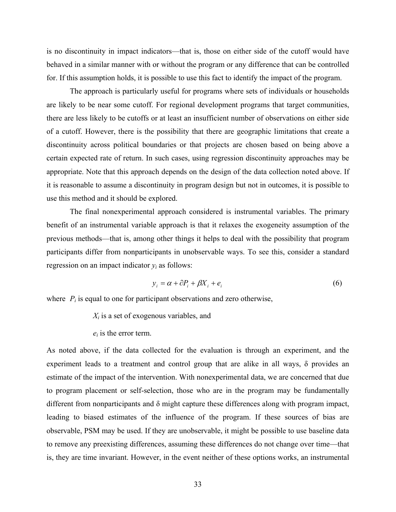is no discontinuity in impact indicators—that is, those on either side of the cutoff would have behaved in a similar manner with or without the program or any difference that can be controlled for. If this assumption holds, it is possible to use this fact to identify the impact of the program.

The approach is particularly useful for programs where sets of individuals or households are likely to be near some cutoff. For regional development programs that target communities, there are less likely to be cutoffs or at least an insufficient number of observations on either side of a cutoff. However, there is the possibility that there are geographic limitations that create a discontinuity across political boundaries or that projects are chosen based on being above a certain expected rate of return. In such cases, using regression discontinuity approaches may be appropriate. Note that this approach depends on the design of the data collection noted above. If it is reasonable to assume a discontinuity in program design but not in outcomes, it is possible to use this method and it should be explored.

The final nonexperimental approach considered is instrumental variables. The primary benefit of an instrumental variable approach is that it relaxes the exogeneity assumption of the previous methods—that is, among other things it helps to deal with the possibility that program participants differ from nonparticipants in unobservable ways. To see this, consider a standard regression on an impact indicator  $y_i$  as follows:

$$
y_i = \alpha + \partial P_i + \beta X_i + e_i \tag{6}
$$

where  $P_i$  is equal to one for participant observations and zero otherwise,

*Xi* is a set of exogenous variables, and

*ei* is the error term.

As noted above, if the data collected for the evaluation is through an experiment, and the experiment leads to a treatment and control group that are alike in all ways, δ provides an estimate of the impact of the intervention. With nonexperimental data, we are concerned that due to program placement or self-selection, those who are in the program may be fundamentally different from nonparticipants and δ might capture these differences along with program impact, leading to biased estimates of the influence of the program. If these sources of bias are observable, PSM may be used. If they are unobservable, it might be possible to use baseline data to remove any preexisting differences, assuming these differences do not change over time—that is, they are time invariant. However, in the event neither of these options works, an instrumental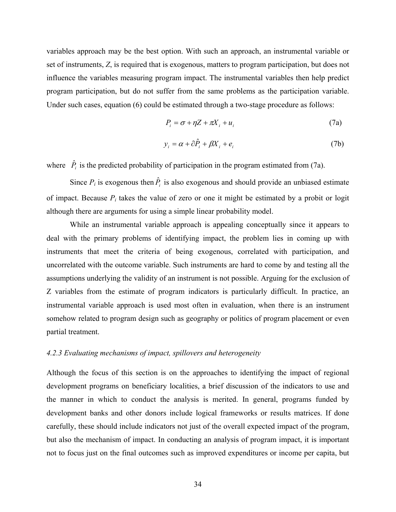variables approach may be the best option. With such an approach, an instrumental variable or set of instruments, *Z*, is required that is exogenous, matters to program participation, but does not influence the variables measuring program impact. The instrumental variables then help predict program participation, but do not suffer from the same problems as the participation variable. Under such cases, equation (6) could be estimated through a two-stage procedure as follows:

$$
P_i = \sigma + \eta Z + \pi X_i + u_i \tag{7a}
$$

$$
y_i = \alpha + \partial \hat{P}_i + \beta X_i + e_i \tag{7b}
$$

where  $\hat{P}_i$  is the predicted probability of participation in the program estimated from (7a).

Since  $P_i$  is exogenous then  $\hat{P}_i$  is also exogenous and should provide an unbiased estimate of impact. Because  $P_i$  takes the value of zero or one it might be estimated by a probit or logit although there are arguments for using a simple linear probability model.

While an instrumental variable approach is appealing conceptually since it appears to deal with the primary problems of identifying impact, the problem lies in coming up with instruments that meet the criteria of being exogenous, correlated with participation, and uncorrelated with the outcome variable. Such instruments are hard to come by and testing all the assumptions underlying the validity of an instrument is not possible. Arguing for the exclusion of Z variables from the estimate of program indicators is particularly difficult. In practice, an instrumental variable approach is used most often in evaluation, when there is an instrument somehow related to program design such as geography or politics of program placement or even partial treatment.

#### *4.2.3 Evaluating mechanisms of impact, spillovers and heterogeneity*

Although the focus of this section is on the approaches to identifying the impact of regional development programs on beneficiary localities, a brief discussion of the indicators to use and the manner in which to conduct the analysis is merited. In general, programs funded by development banks and other donors include logical frameworks or results matrices. If done carefully, these should include indicators not just of the overall expected impact of the program, but also the mechanism of impact. In conducting an analysis of program impact, it is important not to focus just on the final outcomes such as improved expenditures or income per capita, but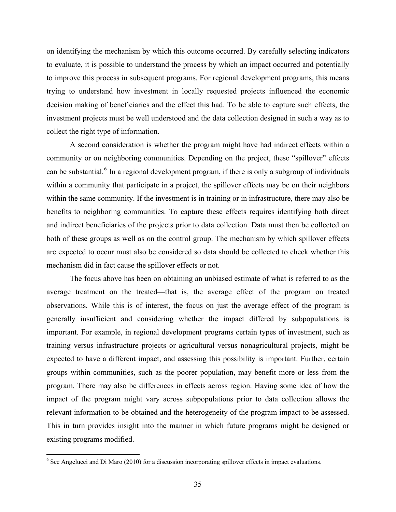on identifying the mechanism by which this outcome occurred. By carefully selecting indicators to evaluate, it is possible to understand the process by which an impact occurred and potentially to improve this process in subsequent programs. For regional development programs, this means trying to understand how investment in locally requested projects influenced the economic decision making of beneficiaries and the effect this had. To be able to capture such effects, the investment projects must be well understood and the data collection designed in such a way as to collect the right type of information.

A second consideration is whether the program might have had indirect effects within a community or on neighboring communities. Depending on the project, these "spillover" effects can be substantial.<sup>[6](#page-37-0)</sup> In a regional development program, if there is only a subgroup of individuals within a community that participate in a project, the spillover effects may be on their neighbors within the same community. If the investment is in training or in infrastructure, there may also be benefits to neighboring communities. To capture these effects requires identifying both direct and indirect beneficiaries of the projects prior to data collection. Data must then be collected on both of these groups as well as on the control group. The mechanism by which spillover effects are expected to occur must also be considered so data should be collected to check whether this mechanism did in fact cause the spillover effects or not.

The focus above has been on obtaining an unbiased estimate of what is referred to as the average treatment on the treated—that is, the average effect of the program on treated observations. While this is of interest, the focus on just the average effect of the program is generally insufficient and considering whether the impact differed by subpopulations is important. For example, in regional development programs certain types of investment, such as training versus infrastructure projects or agricultural versus nonagricultural projects, might be expected to have a different impact, and assessing this possibility is important. Further, certain groups within communities, such as the poorer population, may benefit more or less from the program. There may also be differences in effects across region. Having some idea of how the impact of the program might vary across subpopulations prior to data collection allows the relevant information to be obtained and the heterogeneity of the program impact to be assessed. This in turn provides insight into the manner in which future programs might be designed or existing programs modified.

<span id="page-37-0"></span><sup>&</sup>lt;sup>6</sup> See Angelucci and Di Maro (2010) for a discussion incorporating spillover effects in impact evaluations.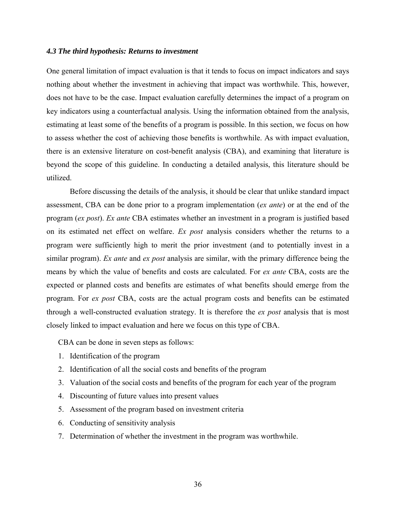#### *4.3 The third hypothesis: Returns to investment*

One general limitation of impact evaluation is that it tends to focus on impact indicators and says nothing about whether the investment in achieving that impact was worthwhile. This, however, does not have to be the case. Impact evaluation carefully determines the impact of a program on key indicators using a counterfactual analysis. Using the information obtained from the analysis, estimating at least some of the benefits of a program is possible. In this section, we focus on how to assess whether the cost of achieving those benefits is worthwhile. As with impact evaluation, there is an extensive literature on cost-benefit analysis (CBA), and examining that literature is beyond the scope of this guideline. In conducting a detailed analysis, this literature should be utilized.

Before discussing the details of the analysis, it should be clear that unlike standard impact assessment, CBA can be done prior to a program implementation (*ex ante*) or at the end of the program (*ex post*). *Ex ante* CBA estimates whether an investment in a program is justified based on its estimated net effect on welfare. *Ex post* analysis considers whether the returns to a program were sufficiently high to merit the prior investment (and to potentially invest in a similar program). *Ex ante* and *ex post* analysis are similar, with the primary difference being the means by which the value of benefits and costs are calculated. For *ex ante* CBA, costs are the expected or planned costs and benefits are estimates of what benefits should emerge from the program. For *ex post* CBA, costs are the actual program costs and benefits can be estimated through a well-constructed evaluation strategy. It is therefore the *ex post* analysis that is most closely linked to impact evaluation and here we focus on this type of CBA.

CBA can be done in seven steps as follows:

- 1. Identification of the program
- 2. Identification of all the social costs and benefits of the program
- 3. Valuation of the social costs and benefits of the program for each year of the program
- 4. Discounting of future values into present values
- 5. Assessment of the program based on investment criteria
- 6. Conducting of sensitivity analysis
- 7. Determination of whether the investment in the program was worthwhile.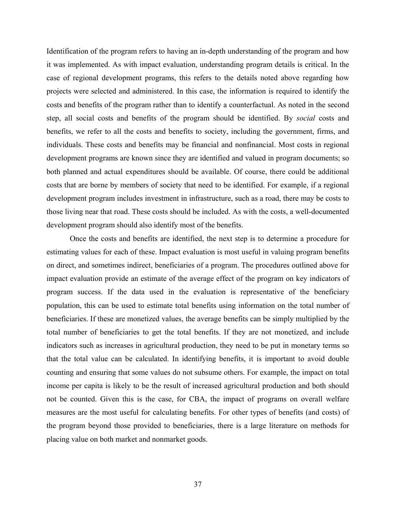Identification of the program refers to having an in-depth understanding of the program and how it was implemented. As with impact evaluation, understanding program details is critical. In the case of regional development programs, this refers to the details noted above regarding how projects were selected and administered. In this case, the information is required to identify the costs and benefits of the program rather than to identify a counterfactual. As noted in the second step, all social costs and benefits of the program should be identified. By *social* costs and benefits, we refer to all the costs and benefits to society, including the government, firms, and individuals. These costs and benefits may be financial and nonfinancial. Most costs in regional development programs are known since they are identified and valued in program documents; so both planned and actual expenditures should be available. Of course, there could be additional costs that are borne by members of society that need to be identified. For example, if a regional development program includes investment in infrastructure, such as a road, there may be costs to those living near that road. These costs should be included. As with the costs, a well-documented development program should also identify most of the benefits.

Once the costs and benefits are identified, the next step is to determine a procedure for estimating values for each of these. Impact evaluation is most useful in valuing program benefits on direct, and sometimes indirect, beneficiaries of a program. The procedures outlined above for impact evaluation provide an estimate of the average effect of the program on key indicators of program success. If the data used in the evaluation is representative of the beneficiary population, this can be used to estimate total benefits using information on the total number of beneficiaries. If these are monetized values, the average benefits can be simply multiplied by the total number of beneficiaries to get the total benefits. If they are not monetized, and include indicators such as increases in agricultural production, they need to be put in monetary terms so that the total value can be calculated. In identifying benefits, it is important to avoid double counting and ensuring that some values do not subsume others. For example, the impact on total income per capita is likely to be the result of increased agricultural production and both should not be counted. Given this is the case, for CBA, the impact of programs on overall welfare measures are the most useful for calculating benefits. For other types of benefits (and costs) of the program beyond those provided to beneficiaries, there is a large literature on methods for placing value on both market and nonmarket goods.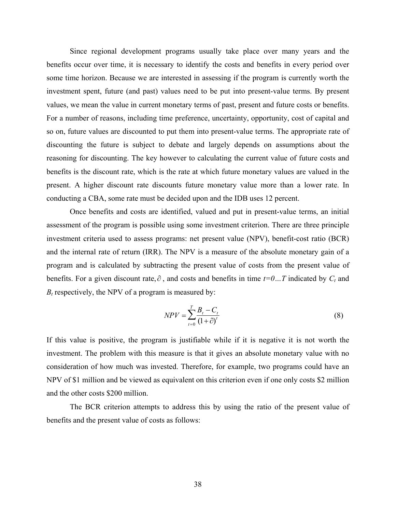Since regional development programs usually take place over many years and the benefits occur over time, it is necessary to identify the costs and benefits in every period over some time horizon. Because we are interested in assessing if the program is currently worth the investment spent, future (and past) values need to be put into present-value terms. By present values, we mean the value in current monetary terms of past, present and future costs or benefits. For a number of reasons, including time preference, uncertainty, opportunity, cost of capital and so on, future values are discounted to put them into present-value terms. The appropriate rate of discounting the future is subject to debate and largely depends on assumptions about the reasoning for discounting. The key however to calculating the current value of future costs and benefits is the discount rate, which is the rate at which future monetary values are valued in the present. A higher discount rate discounts future monetary value more than a lower rate. In conducting a CBA, some rate must be decided upon and the IDB uses 12 percent.

Once benefits and costs are identified, valued and put in present-value terms, an initial assessment of the program is possible using some investment criterion. There are three principle investment criteria used to assess programs: net present value (NPV), benefit-cost ratio (BCR) and the internal rate of return (IRR). The NPV is a measure of the absolute monetary gain of a program and is calculated by subtracting the present value of costs from the present value of benefits. For a given discount rate,  $\partial$ , and costs and benefits in time  $t=0...T$  indicated by  $C_t$  and  $B_t$  respectively, the NPV of a program is measured by:

$$
NPV = \sum_{t=0}^{T} \frac{B_t - C_t}{(1+\partial)^t}
$$
 (8)

If this value is positive, the program is justifiable while if it is negative it is not worth the investment. The problem with this measure is that it gives an absolute monetary value with no consideration of how much was invested. Therefore, for example, two programs could have an NPV of \$1 million and be viewed as equivalent on this criterion even if one only costs \$2 million and the other costs \$200 million.

The BCR criterion attempts to address this by using the ratio of the present value of benefits and the present value of costs as follows: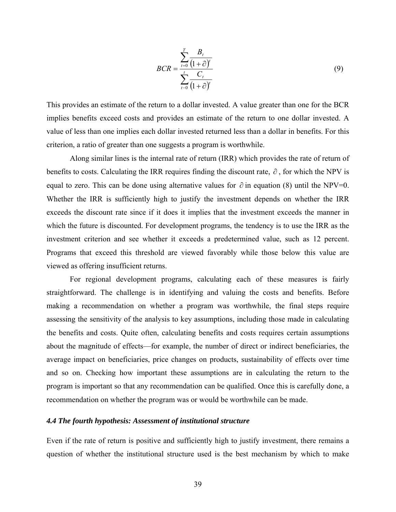$$
BCR = \frac{\sum_{t=0}^{T} \frac{B_t}{(1+\partial)^t}}{\sum_{t=0}^{t} \frac{C_t}{(1+\partial)^t}}
$$
(9)

This provides an estimate of the return to a dollar invested. A value greater than one for the BCR implies benefits exceed costs and provides an estimate of the return to one dollar invested. A value of less than one implies each dollar invested returned less than a dollar in benefits. For this criterion, a ratio of greater than one suggests a program is worthwhile.

Along similar lines is the internal rate of return (IRR) which provides the rate of return of benefits to costs. Calculating the IRR requires finding the discount rate,  $\partial$ , for which the NPV is equal to zero. This can be done using alternative values for  $\partial$  in equation (8) until the NPV=0. Whether the IRR is sufficiently high to justify the investment depends on whether the IRR exceeds the discount rate since if it does it implies that the investment exceeds the manner in which the future is discounted. For development programs, the tendency is to use the IRR as the investment criterion and see whether it exceeds a predetermined value, such as 12 percent. Programs that exceed this threshold are viewed favorably while those below this value are viewed as offering insufficient returns.

For regional development programs, calculating each of these measures is fairly straightforward. The challenge is in identifying and valuing the costs and benefits. Before making a recommendation on whether a program was worthwhile, the final steps require assessing the sensitivity of the analysis to key assumptions, including those made in calculating the benefits and costs. Quite often, calculating benefits and costs requires certain assumptions about the magnitude of effects—for example, the number of direct or indirect beneficiaries, the average impact on beneficiaries, price changes on products, sustainability of effects over time and so on. Checking how important these assumptions are in calculating the return to the program is important so that any recommendation can be qualified. Once this is carefully done, a recommendation on whether the program was or would be worthwhile can be made.

#### *4.4 The fourth hypothesis: Assessment of institutional structure*

Even if the rate of return is positive and sufficiently high to justify investment, there remains a question of whether the institutional structure used is the best mechanism by which to make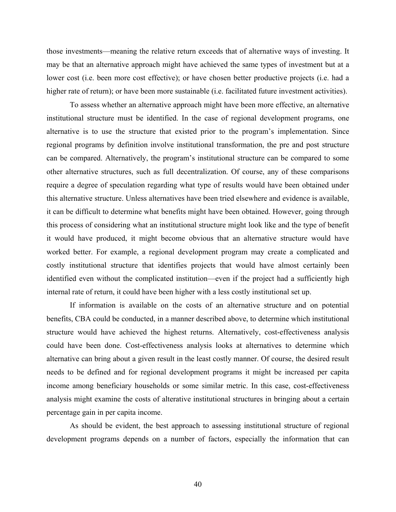those investments—meaning the relative return exceeds that of alternative ways of investing. It may be that an alternative approach might have achieved the same types of investment but at a lower cost (i.e. been more cost effective); or have chosen better productive projects (i.e. had a higher rate of return); or have been more sustainable (i.e. facilitated future investment activities).

To assess whether an alternative approach might have been more effective, an alternative institutional structure must be identified. In the case of regional development programs, one alternative is to use the structure that existed prior to the program's implementation. Since regional programs by definition involve institutional transformation, the pre and post structure can be compared. Alternatively, the program's institutional structure can be compared to some other alternative structures, such as full decentralization. Of course, any of these comparisons require a degree of speculation regarding what type of results would have been obtained under this alternative structure. Unless alternatives have been tried elsewhere and evidence is available, it can be difficult to determine what benefits might have been obtained. However, going through this process of considering what an institutional structure might look like and the type of benefit it would have produced, it might become obvious that an alternative structure would have worked better. For example, a regional development program may create a complicated and costly institutional structure that identifies projects that would have almost certainly been identified even without the complicated institution—even if the project had a sufficiently high internal rate of return, it could have been higher with a less costly institutional set up.

If information is available on the costs of an alternative structure and on potential benefits, CBA could be conducted, in a manner described above, to determine which institutional structure would have achieved the highest returns. Alternatively, cost-effectiveness analysis could have been done. Cost-effectiveness analysis looks at alternatives to determine which alternative can bring about a given result in the least costly manner. Of course, the desired result needs to be defined and for regional development programs it might be increased per capita income among beneficiary households or some similar metric. In this case, cost-effectiveness analysis might examine the costs of alterative institutional structures in bringing about a certain percentage gain in per capita income.

As should be evident, the best approach to assessing institutional structure of regional development programs depends on a number of factors, especially the information that can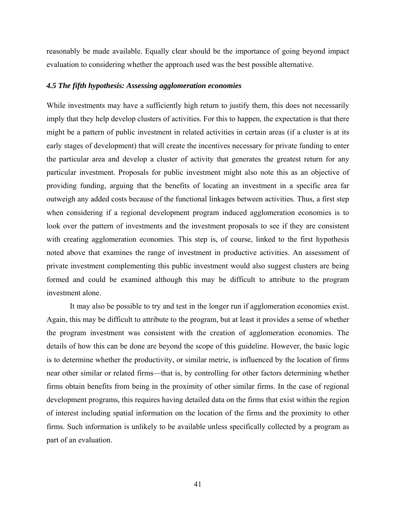reasonably be made available. Equally clear should be the importance of going beyond impact evaluation to considering whether the approach used was the best possible alternative.

#### *4.5 The fifth hypothesis: Assessing agglomeration economies*

While investments may have a sufficiently high return to justify them, this does not necessarily imply that they help develop clusters of activities. For this to happen, the expectation is that there might be a pattern of public investment in related activities in certain areas (if a cluster is at its early stages of development) that will create the incentives necessary for private funding to enter the particular area and develop a cluster of activity that generates the greatest return for any particular investment. Proposals for public investment might also note this as an objective of providing funding, arguing that the benefits of locating an investment in a specific area far outweigh any added costs because of the functional linkages between activities. Thus, a first step when considering if a regional development program induced agglomeration economies is to look over the pattern of investments and the investment proposals to see if they are consistent with creating agglomeration economies. This step is, of course, linked to the first hypothesis noted above that examines the range of investment in productive activities. An assessment of private investment complementing this public investment would also suggest clusters are being formed and could be examined although this may be difficult to attribute to the program investment alone.

It may also be possible to try and test in the longer run if agglomeration economies exist. Again, this may be difficult to attribute to the program, but at least it provides a sense of whether the program investment was consistent with the creation of agglomeration economies. The details of how this can be done are beyond the scope of this guideline. However, the basic logic is to determine whether the productivity, or similar metric, is influenced by the location of firms near other similar or related firms—that is, by controlling for other factors determining whether firms obtain benefits from being in the proximity of other similar firms. In the case of regional development programs, this requires having detailed data on the firms that exist within the region of interest including spatial information on the location of the firms and the proximity to other firms. Such information is unlikely to be available unless specifically collected by a program as part of an evaluation.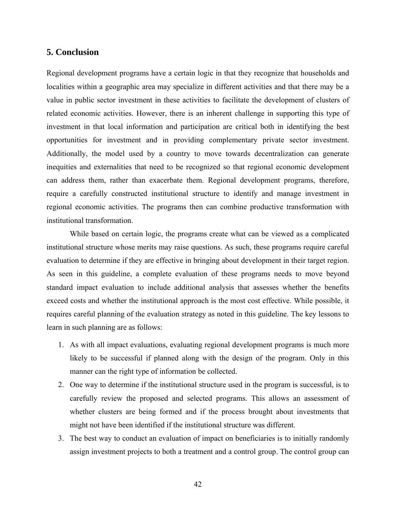#### **5. Conclusion**

Regional development programs have a certain logic in that they recognize that households and localities within a geographic area may specialize in different activities and that there may be a value in public sector investment in these activities to facilitate the development of clusters of related economic activities. However, there is an inherent challenge in supporting this type of investment in that local information and participation are critical both in identifying the best opportunities for investment and in providing complementary private sector investment. Additionally, the model used by a country to move towards decentralization can generate inequities and externalities that need to be recognized so that regional economic development can address them, rather than exacerbate them. Regional development programs, therefore, require a carefully constructed institutional structure to identify and manage investment in regional economic activities. The programs then can combine productive transformation with institutional transformation.

While based on certain logic, the programs create what can be viewed as a complicated institutional structure whose merits may raise questions. As such, these programs require careful evaluation to determine if they are effective in bringing about development in their target region. As seen in this guideline, a complete evaluation of these programs needs to move beyond standard impact evaluation to include additional analysis that assesses whether the benefits exceed costs and whether the institutional approach is the most cost effective. While possible, it requires careful planning of the evaluation strategy as noted in this guideline. The key lessons to learn in such planning are as follows:

- 1. As with all impact evaluations, evaluating regional development programs is much more likely to be successful if planned along with the design of the program. Only in this manner can the right type of information be collected.
- 2. One way to determine if the institutional structure used in the program is successful, is to carefully review the proposed and selected programs. This allows an assessment of whether clusters are being formed and if the process brought about investments that might not have been identified if the institutional structure was different.
- 3. The best way to conduct an evaluation of impact on beneficiaries is to initially randomly assign investment projects to both a treatment and a control group. The control group can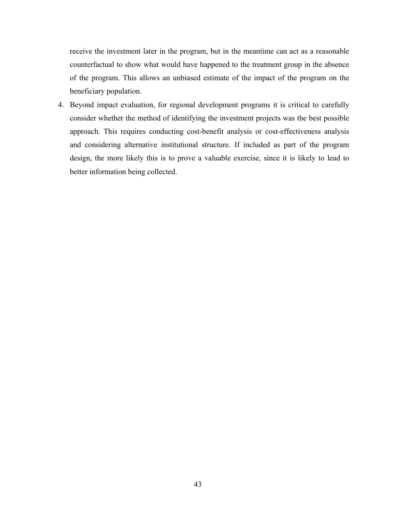receive the investment later in the program, but in the meantime can act as a reasonable counterfactual to show what would have happened to the treatment group in the absence of the program. This allows an unbiased estimate of the impact of the program on the beneficiary population.

4. Beyond impact evaluation, for regional development programs it is critical to carefully consider whether the method of identifying the investment projects was the best possible approach. This requires conducting cost-benefit analysis or cost-effectiveness analysis and considering alternative institutional structure. If included as part of the program design, the more likely this is to prove a valuable exercise, since it is likely to lead to better information being collected.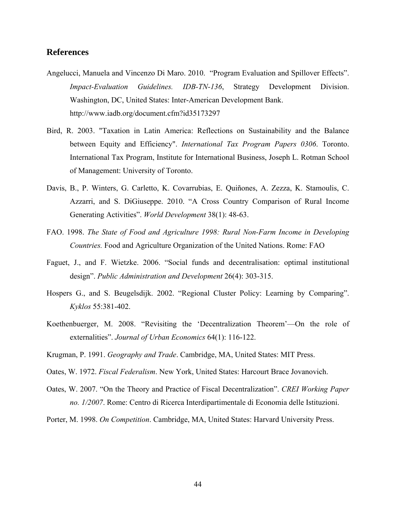#### **References**

- Angelucci, Manuela and Vincenzo Di Maro. 2010. "Program Evaluation and Spillover Effects". *Impact-Evaluation Guidelines. IDB-TN-136*, Strategy Development Division. Washington, DC, United States: Inter-American Development Bank. http://www.iadb.org/document.cfm?id35173297
- Bird, R. 2003. "Taxation in Latin America: Reflections on Sustainability and the Balance between Equity and Efficiency". *International Tax Program Papers 0306*. Toronto. International Tax Program, Institute for International Business, Joseph L. Rotman School of Management: University of Toronto.
- Davis, B., P. Winters, G. Carletto, K. Covarrubias, E. Quiñones, A. Zezza, K. Stamoulis, C. Azzarri, and S. DiGiuseppe. 2010. "A Cross Country Comparison of Rural Income Generating Activities". *World Development* 38(1): 48-63.
- FAO. 1998. *The State of Food and Agriculture 1998: Rural Non-Farm Income in Developing Countries.* Food and Agriculture Organization of the United Nations. Rome: FAO
- Faguet, J., and F. Wietzke. 2006. "Social funds and decentralisation: optimal institutional design". *Public Administration and Development* 26(4): 303-315.
- Hospers G., and S. Beugelsdijk. 2002. "Regional Cluster Policy: Learning by Comparing". *Kyklos* 55:381-402.
- Koethenbuerger, M. 2008. "Revisiting the 'Decentralization Theorem'—On the role of externalities". *Journal of Urban Economics* 64(1): 116-122.
- Krugman, P. 1991. *Geography and Trade*. Cambridge, MA, United States: MIT Press.
- Oates, W. 1972. *Fiscal Federalism*. New York, United States: Harcourt Brace Jovanovich.
- Oates, W. 2007. "On the Theory and Practice of Fiscal Decentralization". *CREI Working Paper no. 1/2007*. Rome: Centro di Ricerca Interdipartimentale di Economia delle Istituzioni.
- Porter, M. 1998. *On Competition*. Cambridge, MA, United States: Harvard University Press.